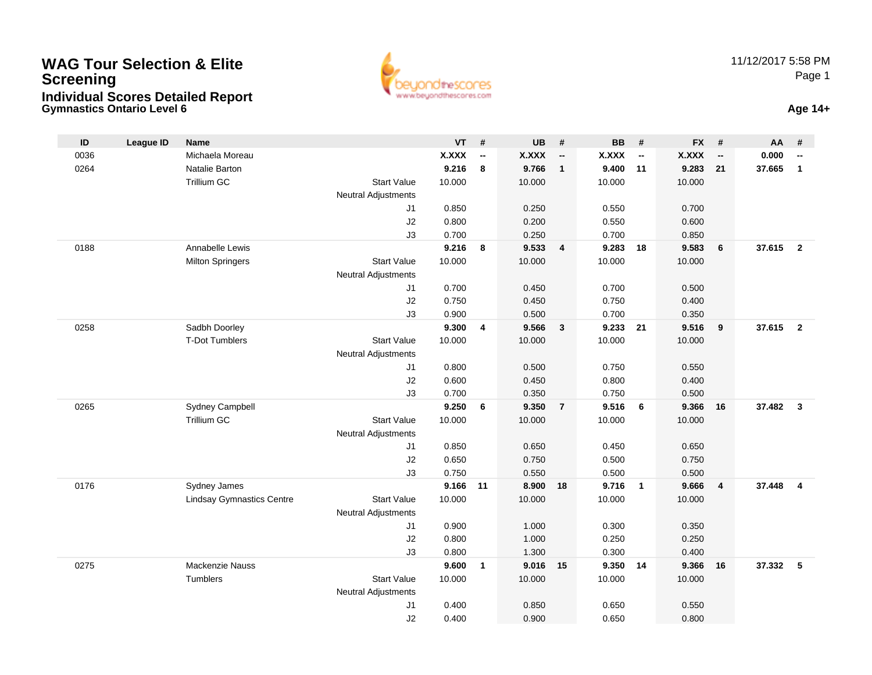#### **Gymnastics Ontario Level 6 Age 14+WAG Tour Selection & EliteScreeningIndividual Scores Detailed Report**



| ID   | <b>League ID</b> | <b>Name</b>                      |                                  | <b>VT</b>       | #                        | <b>UB</b>       | #                        | <b>BB</b>    | #                        | <b>FX</b>    | #                        | AA     | #                       |
|------|------------------|----------------------------------|----------------------------------|-----------------|--------------------------|-----------------|--------------------------|--------------|--------------------------|--------------|--------------------------|--------|-------------------------|
| 0036 |                  | Michaela Moreau                  |                                  | <b>X.XXX</b>    | $\overline{\phantom{a}}$ | <b>X.XXX</b>    | $\overline{\phantom{a}}$ | <b>X.XXX</b> | $\overline{\phantom{a}}$ | <b>X.XXX</b> | $\overline{\phantom{a}}$ | 0.000  | --                      |
| 0264 |                  | Natalie Barton                   |                                  | 9.216           | 8                        | 9.766           | $\mathbf{1}$             | 9.400        | 11                       | 9.283        | 21                       | 37.665 | $\mathbf{1}$            |
|      |                  | Trillium GC                      | <b>Start Value</b>               | 10.000          |                          | 10.000          |                          | 10.000       |                          | 10.000       |                          |        |                         |
|      |                  |                                  | <b>Neutral Adjustments</b>       |                 |                          |                 |                          |              |                          |              |                          |        |                         |
|      |                  |                                  | J1                               | 0.850           |                          | 0.250           |                          | 0.550        |                          | 0.700        |                          |        |                         |
|      |                  |                                  | J2                               | 0.800           |                          | 0.200           |                          | 0.550        |                          | 0.600        |                          |        |                         |
|      |                  |                                  | J3                               | 0.700           |                          | 0.250           |                          | 0.700        |                          | 0.850        |                          |        |                         |
| 0188 |                  | Annabelle Lewis                  |                                  | 9.216           | 8                        | 9.533           | $\overline{\mathbf{4}}$  | 9.283        | 18                       | 9.583        | 6                        | 37.615 | $\overline{2}$          |
|      |                  | <b>Milton Springers</b>          | <b>Start Value</b>               | 10.000          |                          | 10.000          |                          | 10.000       |                          | 10.000       |                          |        |                         |
|      |                  |                                  | <b>Neutral Adjustments</b>       |                 |                          |                 |                          |              |                          |              |                          |        |                         |
|      |                  |                                  | J1                               | 0.700           |                          | 0.450           |                          | 0.700        |                          | 0.500        |                          |        |                         |
|      |                  |                                  | J2                               | 0.750           |                          | 0.450           |                          | 0.750        |                          | 0.400        |                          |        |                         |
|      |                  |                                  | J3                               | 0.900           |                          | 0.500           |                          | 0.700        |                          | 0.350        |                          |        |                         |
| 0258 |                  | Sadbh Doorley                    |                                  | 9.300           | 4                        | 9.566           | $\mathbf{3}$             | 9.233        | 21                       | 9.516        | 9                        | 37.615 | $\overline{2}$          |
|      |                  | <b>T-Dot Tumblers</b>            | <b>Start Value</b>               | 10.000          |                          | 10.000          |                          | 10.000       |                          | 10.000       |                          |        |                         |
|      |                  |                                  | <b>Neutral Adjustments</b>       |                 |                          |                 |                          |              |                          |              |                          |        |                         |
|      |                  |                                  | J1                               | 0.800           |                          | 0.500           |                          | 0.750        |                          | 0.550        |                          |        |                         |
|      |                  |                                  | J2                               | 0.600           |                          | 0.450           |                          | 0.800        |                          | 0.400        |                          |        |                         |
|      |                  |                                  | J3                               | 0.700           |                          | 0.350           |                          | 0.750        |                          | 0.500        |                          |        |                         |
| 0265 |                  | Sydney Campbell                  |                                  | 9.250           | 6                        | 9.350           | $\overline{7}$           | 9.516        | 6                        | 9.366        | 16                       | 37.482 | $\mathbf{3}$            |
|      |                  | Trillium GC                      | <b>Start Value</b>               | 10.000          |                          | 10.000          |                          | 10.000       |                          | 10.000       |                          |        |                         |
|      |                  |                                  | <b>Neutral Adjustments</b>       |                 |                          |                 |                          |              |                          |              |                          |        |                         |
|      |                  |                                  | J1                               | 0.850           |                          | 0.650           |                          | 0.450        |                          | 0.650        |                          |        |                         |
|      |                  |                                  | J2                               | 0.650           |                          | 0.750           |                          | 0.500        |                          | 0.750        |                          |        |                         |
|      |                  |                                  | J3                               | 0.750           |                          | 0.550           |                          | 0.500        |                          | 0.500        |                          |        |                         |
| 0176 |                  | Sydney James                     | <b>Start Value</b>               | 9.166<br>10.000 | 11                       | 8.900<br>10.000 | 18                       | 9.716        | $\overline{1}$           | 9.666        | $\overline{4}$           | 37.448 | $\overline{\mathbf{4}}$ |
|      |                  | <b>Lindsay Gymnastics Centre</b> |                                  |                 |                          |                 |                          | 10.000       |                          | 10.000       |                          |        |                         |
|      |                  |                                  | <b>Neutral Adjustments</b><br>J1 | 0.900           |                          | 1.000           |                          | 0.300        |                          | 0.350        |                          |        |                         |
|      |                  |                                  | J2                               | 0.800           |                          | 1.000           |                          | 0.250        |                          | 0.250        |                          |        |                         |
|      |                  |                                  | J3                               | 0.800           |                          | 1.300           |                          | 0.300        |                          | 0.400        |                          |        |                         |
| 0275 |                  | Mackenzie Nauss                  |                                  | 9.600           | 1                        | 9.016           | 15                       | 9.350        | 14                       | 9.366        | 16                       | 37.332 | 5                       |
|      |                  | Tumblers                         | <b>Start Value</b>               | 10.000          |                          | 10.000          |                          | 10.000       |                          | 10.000       |                          |        |                         |
|      |                  |                                  | <b>Neutral Adjustments</b>       |                 |                          |                 |                          |              |                          |              |                          |        |                         |
|      |                  |                                  | J1                               | 0.400           |                          | 0.850           |                          | 0.650        |                          | 0.550        |                          |        |                         |
|      |                  |                                  | J2                               | 0.400           |                          | 0.900           |                          | 0.650        |                          | 0.800        |                          |        |                         |
|      |                  |                                  |                                  |                 |                          |                 |                          |              |                          |              |                          |        |                         |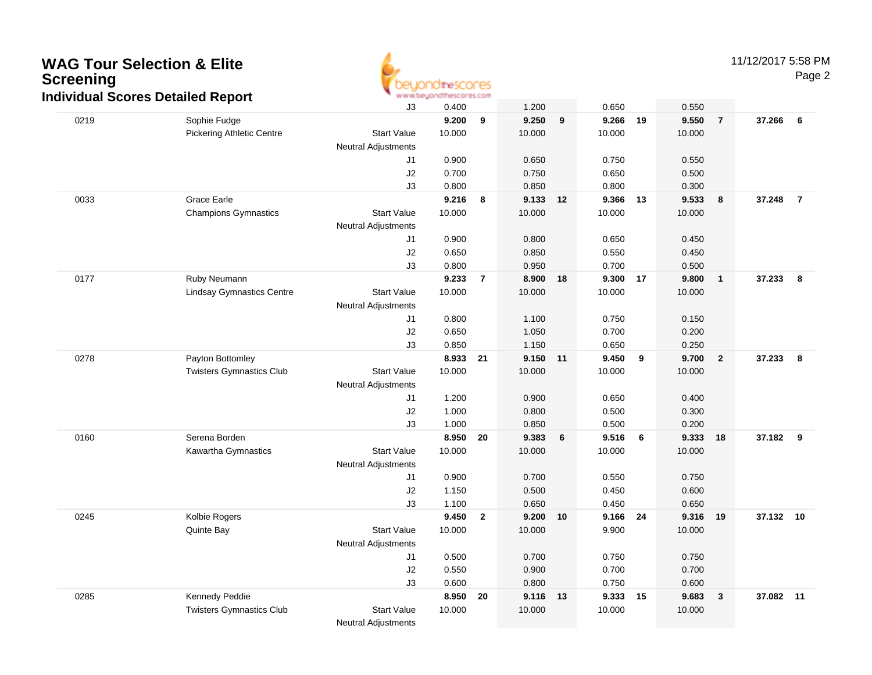

11/12/2017 5:58 PM

|      | ar oooroo Dolanoa Roport         | J3                               | 0.400          |                | 1.200          |                  | 0.650          |     | 0.550          |                         |           |                |
|------|----------------------------------|----------------------------------|----------------|----------------|----------------|------------------|----------------|-----|----------------|-------------------------|-----------|----------------|
| 0219 | Sophie Fudge                     |                                  | 9.200          | 9              | 9.250          | $\boldsymbol{9}$ | 9.266          | 19  | 9.550          | $\overline{7}$          | 37.266    | 6              |
|      | <b>Pickering Athletic Centre</b> | <b>Start Value</b>               | 10.000         |                | 10.000         |                  | 10.000         |     | 10.000         |                         |           |                |
|      |                                  | Neutral Adjustments              |                |                |                |                  |                |     |                |                         |           |                |
|      |                                  | J1                               | 0.900          |                | 0.650          |                  | 0.750          |     | 0.550          |                         |           |                |
|      |                                  | J2                               | 0.700          |                | 0.750          |                  | 0.650          |     | 0.500          |                         |           |                |
|      |                                  | J3                               | 0.800          |                | 0.850          |                  | 0.800          |     | 0.300          |                         |           |                |
| 0033 | Grace Earle                      |                                  | 9.216          | 8              | 9.133          | 12               | 9.366          | 13  | 9.533          | 8                       | 37.248    | $\overline{7}$ |
|      | <b>Champions Gymnastics</b>      | <b>Start Value</b>               | 10.000         |                | 10.000         |                  | 10.000         |     | 10.000         |                         |           |                |
|      |                                  | <b>Neutral Adjustments</b>       |                |                |                |                  |                |     |                |                         |           |                |
|      |                                  | J1                               | 0.900          |                | 0.800          |                  | 0.650          |     | 0.450          |                         |           |                |
|      |                                  | J2                               | 0.650          |                | 0.850          |                  | 0.550          |     | 0.450          |                         |           |                |
|      |                                  | J3                               | 0.800          |                | 0.950          |                  | 0.700          |     | 0.500          |                         |           |                |
| 0177 | Ruby Neumann                     |                                  | 9.233          | $\overline{7}$ | 8.900          | 18               | 9.300 17       |     | 9.800          | $\overline{\mathbf{1}}$ | 37.233    | 8              |
|      | <b>Lindsay Gymnastics Centre</b> | <b>Start Value</b>               | 10.000         |                | 10.000         |                  | 10.000         |     | 10.000         |                         |           |                |
|      |                                  | <b>Neutral Adjustments</b>       |                |                |                |                  |                |     |                |                         |           |                |
|      |                                  | J1                               | 0.800          |                | 1.100          |                  | 0.750          |     | 0.150          |                         |           |                |
|      |                                  | J2                               | 0.650          |                | 1.050          |                  | 0.700          |     | 0.200          |                         |           |                |
|      |                                  | J3                               | 0.850          |                | 1.150          |                  | 0.650          |     | 0.250          |                         |           |                |
| 0278 | Payton Bottomley                 |                                  | 8.933          | 21             | 9.150          | $-11$            | 9.450          | 9   | 9.700          | $\overline{\mathbf{2}}$ | 37.233    | 8              |
|      | <b>Twisters Gymnastics Club</b>  | <b>Start Value</b>               | 10.000         |                | 10.000         |                  | 10.000         |     | 10.000         |                         |           |                |
|      |                                  | <b>Neutral Adjustments</b>       |                |                |                |                  |                |     |                |                         |           |                |
|      |                                  | J1                               | 1.200          |                | 0.900          |                  | 0.650          |     | 0.400          |                         |           |                |
|      |                                  | J2                               | 1.000          |                | 0.800          |                  | 0.500          |     | 0.300          |                         |           |                |
|      |                                  | J3                               | 1.000          |                | 0.850          |                  | 0.500          |     | 0.200          |                         |           |                |
| 0160 | Serena Borden                    |                                  | 8.950          | 20             | 9.383          | 6                | 9.516          | - 6 | 9.333          | 18                      | 37.182    | 9              |
|      | Kawartha Gymnastics              | <b>Start Value</b>               | 10.000         |                | 10.000         |                  | 10.000         |     | 10.000         |                         |           |                |
|      |                                  | <b>Neutral Adjustments</b><br>J1 |                |                |                |                  |                |     |                |                         |           |                |
|      |                                  | J2                               | 0.900<br>1.150 |                | 0.700<br>0.500 |                  | 0.550<br>0.450 |     | 0.750<br>0.600 |                         |           |                |
|      |                                  | J3                               | 1.100          |                | 0.650          |                  | 0.450          |     | 0.650          |                         |           |                |
| 0245 | Kolbie Rogers                    |                                  | 9.450          | $\mathbf{2}$   | 9.200          | 10               | 9.166 24       |     | 9.316          | 19                      | 37.132 10 |                |
|      | Quinte Bay                       | <b>Start Value</b>               | 10.000         |                | 10.000         |                  | 9.900          |     | 10.000         |                         |           |                |
|      |                                  | Neutral Adjustments              |                |                |                |                  |                |     |                |                         |           |                |
|      |                                  | J1                               | 0.500          |                | 0.700          |                  | 0.750          |     | 0.750          |                         |           |                |
|      |                                  | J2                               | 0.550          |                | 0.900          |                  | 0.700          |     | 0.700          |                         |           |                |
|      |                                  | J3                               | 0.600          |                | 0.800          |                  | 0.750          |     | 0.600          |                         |           |                |
| 0285 | Kennedy Peddie                   |                                  | 8.950          | 20             | 9.116          | 13               | 9.333          | 15  | 9.683          | $\mathbf{3}$            | 37.082    | 11             |
|      | <b>Twisters Gymnastics Club</b>  | <b>Start Value</b>               | 10.000         |                | 10.000         |                  | 10.000         |     | 10.000         |                         |           |                |
|      |                                  | <b>Neutral Adjustments</b>       |                |                |                |                  |                |     |                |                         |           |                |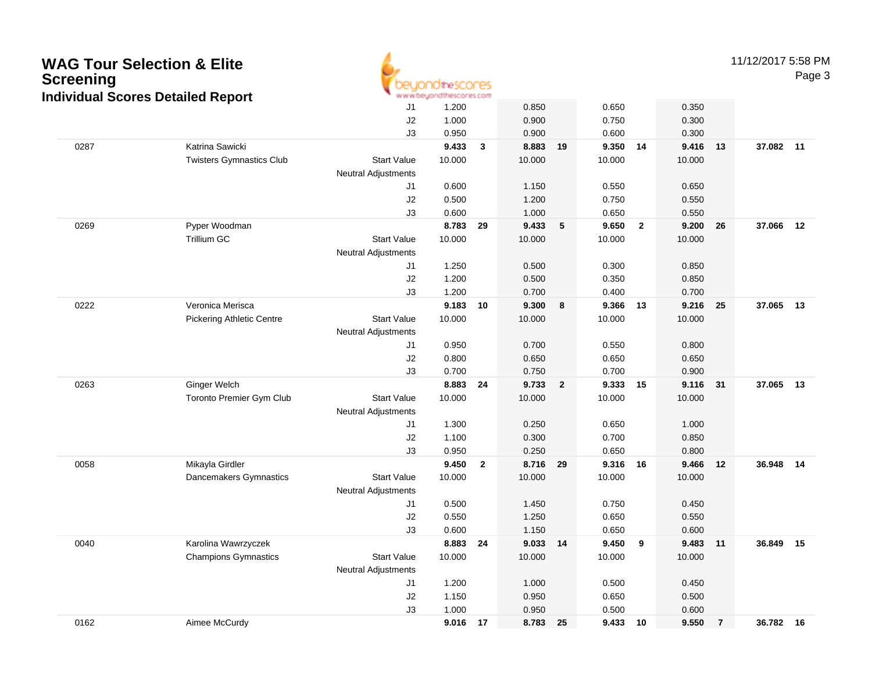| <b>Screening</b> | <b>WAG Tour Selection &amp; Elite</b><br><b>Individual Scores Detailed Report</b> |                            | euondthescores<br>www.beyondthescores.com |                |                 |                |                 |              |                 |                | 11/12/2017 5:58 1 | Pag |
|------------------|-----------------------------------------------------------------------------------|----------------------------|-------------------------------------------|----------------|-----------------|----------------|-----------------|--------------|-----------------|----------------|-------------------|-----|
|                  |                                                                                   | J <sub>1</sub>             | 1.200                                     |                | 0.850           |                | 0.650           |              | 0.350           |                |                   |     |
|                  |                                                                                   | J2                         | 1.000                                     |                | 0.900           |                | 0.750           |              | 0.300           |                |                   |     |
|                  |                                                                                   | J3                         | 0.950                                     |                | 0.900           |                | 0.600           |              | 0.300           |                |                   |     |
| 0287             | Katrina Sawicki                                                                   |                            | 9.433                                     | $\mathbf{3}$   | 8.883           | 19             | 9.350 14        |              | 9.416           | 13             | 37.082 11         |     |
|                  | <b>Twisters Gymnastics Club</b>                                                   | <b>Start Value</b>         | 10.000                                    |                | 10.000          |                | 10.000          |              | 10.000          |                |                   |     |
|                  |                                                                                   | <b>Neutral Adjustments</b> |                                           |                |                 |                |                 |              |                 |                |                   |     |
|                  |                                                                                   | J1                         | 0.600                                     |                | 1.150           |                | 0.550           |              | 0.650           |                |                   |     |
|                  |                                                                                   | J2                         | 0.500                                     |                | 1.200           |                | 0.750           |              | 0.550           |                |                   |     |
|                  |                                                                                   | J3                         | 0.600                                     |                | 1.000           |                | 0.650           | $\mathbf{2}$ | 0.550           |                |                   | 12  |
| 0269             | Pyper Woodman<br><b>Trillium GC</b>                                               | <b>Start Value</b>         | 8.783<br>10.000                           | 29             | 9.433<br>10.000 | ${\bf 5}$      | 9.650<br>10.000 |              | 9.200<br>10.000 | 26             | 37.066            |     |
|                  |                                                                                   | <b>Neutral Adjustments</b> |                                           |                |                 |                |                 |              |                 |                |                   |     |
|                  |                                                                                   | J1                         | 1.250                                     |                | 0.500           |                | 0.300           |              | 0.850           |                |                   |     |
|                  |                                                                                   | J2                         | 1.200                                     |                | 0.500           |                | 0.350           |              | 0.850           |                |                   |     |
|                  |                                                                                   | J3                         | 1.200                                     |                | 0.700           |                | 0.400           |              | 0.700           |                |                   |     |
| 0222             | Veronica Merisca                                                                  |                            | 9.183                                     | 10             | 9.300           | 8              | 9.366           | 13           | 9.216           | 25             | 37.065            | 13  |
|                  | <b>Pickering Athletic Centre</b>                                                  | <b>Start Value</b>         | 10.000                                    |                | 10.000          |                | 10.000          |              | 10.000          |                |                   |     |
|                  |                                                                                   | <b>Neutral Adjustments</b> |                                           |                |                 |                |                 |              |                 |                |                   |     |
|                  |                                                                                   | J1                         | 0.950                                     |                | 0.700           |                | 0.550           |              | 0.800           |                |                   |     |
|                  |                                                                                   | J2                         | 0.800                                     |                | 0.650           |                | 0.650           |              | 0.650           |                |                   |     |
|                  |                                                                                   | J3                         | 0.700                                     |                | 0.750           |                | 0.700           |              | 0.900           |                |                   |     |
| 0263             | <b>Ginger Welch</b>                                                               |                            | 8.883                                     | 24             | 9.733           | $\overline{2}$ | 9.333 15        |              | 9.116           | 31             | 37.065 13         |     |
|                  | Toronto Premier Gym Club                                                          | <b>Start Value</b>         | 10.000                                    |                | 10.000          |                | 10.000          |              | 10.000          |                |                   |     |
|                  |                                                                                   | <b>Neutral Adjustments</b> |                                           |                |                 |                |                 |              |                 |                |                   |     |
|                  |                                                                                   | J1                         | 1.300                                     |                | 0.250           |                | 0.650           |              | 1.000           |                |                   |     |
|                  |                                                                                   | J2                         | 1.100                                     |                | 0.300           |                | 0.700           |              | 0.850           |                |                   |     |
|                  |                                                                                   | J3                         | 0.950                                     |                | 0.250           |                | 0.650           |              | 0.800           |                |                   |     |
| 0058             | Mikayla Girdler                                                                   |                            | 9.450                                     | $\overline{2}$ | 8.716           | 29             | 9.316 16        |              | 9.466           | 12             | 36.948            | 14  |
|                  | Dancemakers Gymnastics                                                            | <b>Start Value</b>         | 10.000                                    |                | 10.000          |                | 10.000          |              | 10.000          |                |                   |     |
|                  |                                                                                   | <b>Neutral Adjustments</b> |                                           |                |                 |                |                 |              |                 |                |                   |     |
|                  |                                                                                   | J1                         | 0.500                                     |                | 1.450           |                | 0.750           |              | 0.450           |                |                   |     |
|                  |                                                                                   | J2                         | 0.550                                     |                | 1.250           |                | 0.650           |              | 0.550           |                |                   |     |
|                  |                                                                                   | J3                         | 0.600                                     |                | 1.150           |                | 0.650           |              | 0.600           |                |                   |     |
| 0040             | Karolina Wawrzyczek                                                               |                            | 8.883                                     | 24             | 9.033           | 14             | 9.450           | 9            | 9.483           | 11             | 36.849            | 15  |
|                  | <b>Champions Gymnastics</b>                                                       | <b>Start Value</b>         | 10.000                                    |                | 10.000          |                | 10.000          |              | 10.000          |                |                   |     |
|                  |                                                                                   | <b>Neutral Adjustments</b> |                                           |                |                 |                |                 |              |                 |                |                   |     |
|                  |                                                                                   | J1                         | 1.200                                     |                | 1.000           |                | 0.500           |              | 0.450           |                |                   |     |
|                  |                                                                                   | J2<br>J3                   | 1.150<br>1.000                            |                | 0.950<br>0.950  |                | 0.650<br>0.500  |              | 0.500<br>0.600  |                |                   |     |
| 0162             | Aimee McCurdy                                                                     |                            | 9.016 17                                  |                | 8.783           | 25             | 9.433           | 10           | 9.550           | $\overline{7}$ | 36.782 16         |     |
|                  |                                                                                   |                            |                                           |                |                 |                |                 |              |                 |                |                   |     |

 $\overline{\phantom{a}}$ 

11/12/2017 5:58 PM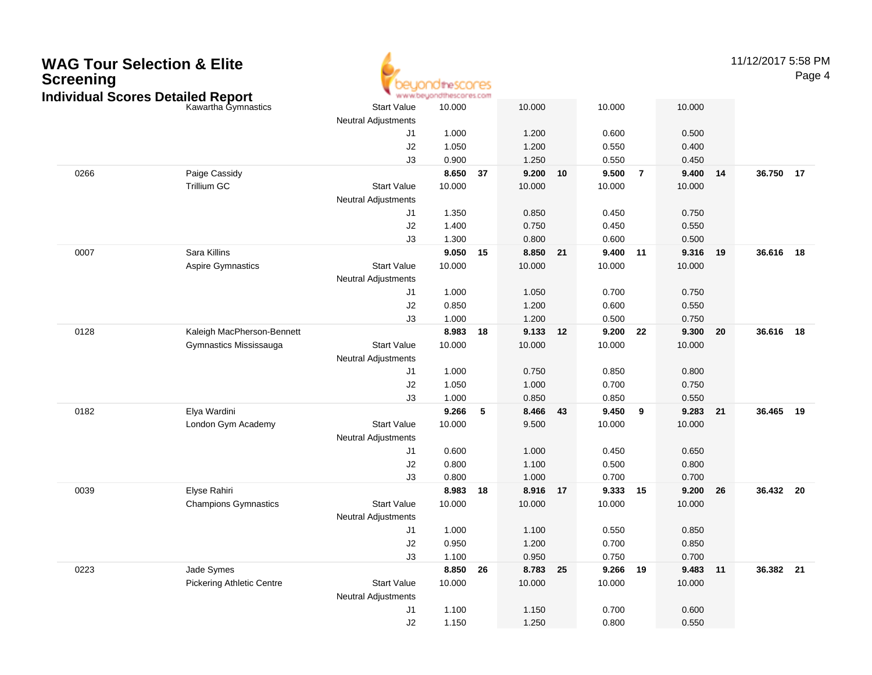| <b>WAG Tour Selection &amp; Elite</b><br><b>Screening</b><br><b>Individual Scores Detailed Report</b> |                                  |                                                  | idinescores<br>www.beyondthescores.com |    |                |    |                |       |                |    | 11/12/2017 5:58 PM | Page 4 |
|-------------------------------------------------------------------------------------------------------|----------------------------------|--------------------------------------------------|----------------------------------------|----|----------------|----|----------------|-------|----------------|----|--------------------|--------|
|                                                                                                       | Kawartha Gymnastics              | <b>Start Value</b><br><b>Neutral Adjustments</b> | 10.000                                 |    | 10.000         |    | 10.000         |       | 10.000         |    |                    |        |
|                                                                                                       |                                  | J1                                               | 1.000                                  |    | 1.200          |    | 0.600          |       | 0.500          |    |                    |        |
|                                                                                                       |                                  | J2                                               | 1.050                                  |    | 1.200          |    | 0.550          |       | 0.400          |    |                    |        |
|                                                                                                       |                                  | J3                                               | 0.900                                  |    | 1.250          |    | 0.550          |       | 0.450          |    |                    |        |
| 0266                                                                                                  | Paige Cassidy                    |                                                  | 8.650 37                               |    | 9.200          | 10 | 9.500          | - 7   | 9.400          | 14 | 36.750 17          |        |
|                                                                                                       | Trillium GC                      | <b>Start Value</b>                               | 10.000                                 |    | 10.000         |    | 10.000         |       | 10.000         |    |                    |        |
|                                                                                                       |                                  | <b>Neutral Adjustments</b>                       |                                        |    |                |    |                |       |                |    |                    |        |
|                                                                                                       |                                  | J1                                               | 1.350                                  |    | 0.850          |    | 0.450          |       | 0.750          |    |                    |        |
|                                                                                                       |                                  | J <sub>2</sub>                                   | 1.400                                  |    | 0.750          |    | 0.450          |       | 0.550          |    |                    |        |
|                                                                                                       |                                  | J3                                               | 1.300                                  |    | 0.800          |    | 0.600          |       | 0.500          |    |                    |        |
| 0007                                                                                                  | Sara Killins                     |                                                  | 9.050                                  | 15 | 8.850          | 21 | 9.400          | $-11$ | 9.316          | 19 | 36.616 18          |        |
|                                                                                                       | Aspire Gymnastics                | <b>Start Value</b>                               | 10.000                                 |    | 10.000         |    | 10.000         |       | 10.000         |    |                    |        |
|                                                                                                       |                                  | <b>Neutral Adjustments</b>                       |                                        |    |                |    |                |       |                |    |                    |        |
|                                                                                                       |                                  | J1                                               | 1.000                                  |    | 1.050          |    | 0.700          |       | 0.750          |    |                    |        |
|                                                                                                       |                                  | J <sub>2</sub>                                   | 0.850                                  |    | 1.200          |    | 0.600          |       | 0.550          |    |                    |        |
|                                                                                                       |                                  | J3                                               | 1.000                                  |    | 1.200          |    | 0.500          |       | 0.750          |    |                    |        |
| 0128                                                                                                  | Kaleigh MacPherson-Bennett       |                                                  | 8.983                                  | 18 | 9.133          | 12 | 9.200          | 22    | 9.300          | 20 | 36.616 18          |        |
|                                                                                                       | Gymnastics Mississauga           | <b>Start Value</b>                               | 10.000                                 |    | 10.000         |    | 10.000         |       | 10.000         |    |                    |        |
|                                                                                                       |                                  | <b>Neutral Adjustments</b>                       |                                        |    |                |    |                |       |                |    |                    |        |
|                                                                                                       |                                  | J1<br>J <sub>2</sub>                             | 1.000<br>1.050                         |    | 0.750<br>1.000 |    | 0.850<br>0.700 |       | 0.800<br>0.750 |    |                    |        |
|                                                                                                       |                                  | J3                                               | 1.000                                  |    | 0.850          |    | 0.850          |       | 0.550          |    |                    |        |
| 0182                                                                                                  | Elya Wardini                     |                                                  | 9.266                                  | 5  | 8.466          | 43 | 9.450          | 9     | 9.283          | 21 | 36.465 19          |        |
|                                                                                                       | London Gym Academy               | <b>Start Value</b>                               | 10.000                                 |    | 9.500          |    | 10.000         |       | 10.000         |    |                    |        |
|                                                                                                       |                                  | Neutral Adjustments                              |                                        |    |                |    |                |       |                |    |                    |        |
|                                                                                                       |                                  | J1                                               | 0.600                                  |    | 1.000          |    | 0.450          |       | 0.650          |    |                    |        |
|                                                                                                       |                                  | J2                                               | 0.800                                  |    | 1.100          |    | 0.500          |       | 0.800          |    |                    |        |
|                                                                                                       |                                  | J3                                               | 0.800                                  |    | 1.000          |    | 0.700          |       | 0.700          |    |                    |        |
| 0039                                                                                                  | Elyse Rahiri                     |                                                  | 8.983                                  | 18 | 8.916          | 17 | 9.333          | 15    | 9.200          | 26 | 36.432 20          |        |
|                                                                                                       | <b>Champions Gymnastics</b>      | <b>Start Value</b>                               | 10.000                                 |    | 10.000         |    | 10.000         |       | 10.000         |    |                    |        |
|                                                                                                       |                                  | Neutral Adjustments                              |                                        |    |                |    |                |       |                |    |                    |        |
|                                                                                                       |                                  | J1                                               | 1.000                                  |    | 1.100          |    | 0.550          |       | 0.850          |    |                    |        |
|                                                                                                       |                                  | $\sf J2$                                         | 0.950                                  |    | 1.200          |    | 0.700          |       | 0.850          |    |                    |        |
|                                                                                                       |                                  | J3                                               | 1.100                                  |    | 0.950          |    | 0.750          |       | 0.700          |    |                    |        |
| 0223                                                                                                  | Jade Symes                       |                                                  | 8.850 26                               |    | 8.783 25       |    | 9.266 19       |       | 9.483 11       |    | 36.382 21          |        |
|                                                                                                       | <b>Pickering Athletic Centre</b> | <b>Start Value</b>                               | 10.000                                 |    | 10.000         |    | 10.000         |       | 10.000         |    |                    |        |
|                                                                                                       |                                  | Neutral Adjustments                              |                                        |    |                |    |                |       |                |    |                    |        |
|                                                                                                       |                                  | J1                                               | 1.100                                  |    | 1.150          |    | 0.700          |       | 0.600          |    |                    |        |
|                                                                                                       |                                  | J2                                               | 1.150                                  |    | 1.250          |    | 0.800          |       | 0.550          |    |                    |        |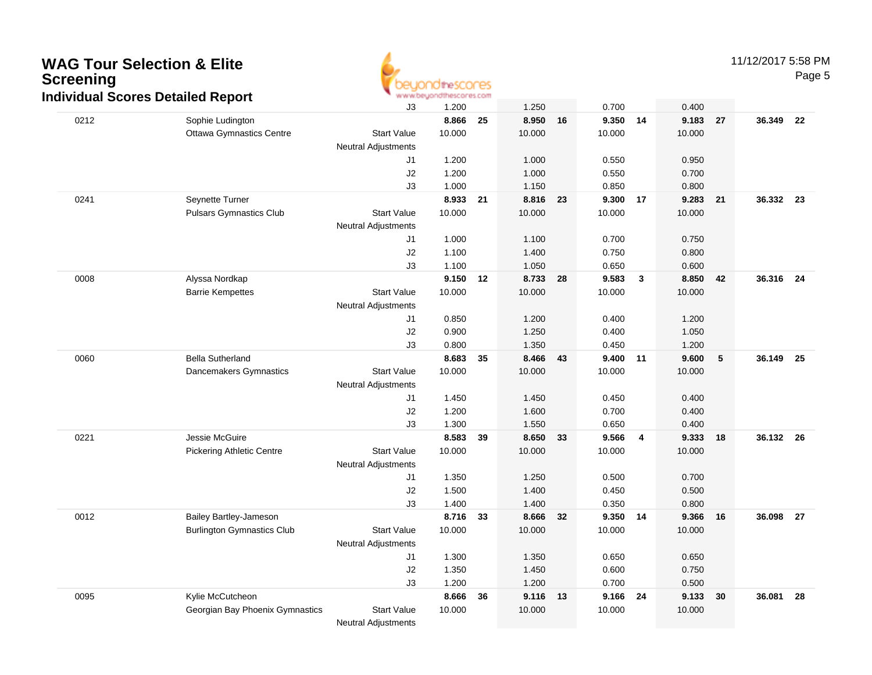

11/12/2017 5:58 PM

|      | <b>NUMER OCCUPATION</b>           | J3                               | 1.200  |    | 1.250  |    | 0.700    |    | 0.400    |                 |           |      |
|------|-----------------------------------|----------------------------------|--------|----|--------|----|----------|----|----------|-----------------|-----------|------|
| 0212 | Sophie Ludington                  |                                  | 8.866  | 25 | 8.950  | 16 | 9.350    | 14 | 9.183 27 |                 | 36.349    | 22   |
|      | <b>Ottawa Gymnastics Centre</b>   | <b>Start Value</b>               | 10.000 |    | 10.000 |    | 10.000   |    | 10.000   |                 |           |      |
|      |                                   | <b>Neutral Adjustments</b>       |        |    |        |    |          |    |          |                 |           |      |
|      |                                   | J1                               | 1.200  |    | 1.000  |    | 0.550    |    | 0.950    |                 |           |      |
|      |                                   | J2                               | 1.200  |    | 1.000  |    | 0.550    |    | 0.700    |                 |           |      |
|      |                                   | J3                               | 1.000  |    | 1.150  |    | 0.850    |    | 0.800    |                 |           |      |
| 0241 | Seynette Turner                   |                                  | 8.933  | 21 | 8.816  | 23 | 9.300    | 17 | 9.283    | 21              | 36.332 23 |      |
|      | <b>Pulsars Gymnastics Club</b>    | <b>Start Value</b>               | 10.000 |    | 10.000 |    | 10.000   |    | 10.000   |                 |           |      |
|      |                                   | <b>Neutral Adjustments</b>       |        |    |        |    |          |    |          |                 |           |      |
|      |                                   | J1                               | 1.000  |    | 1.100  |    | 0.700    |    | 0.750    |                 |           |      |
|      |                                   | J2                               | 1.100  |    | 1.400  |    | 0.750    |    | 0.800    |                 |           |      |
|      |                                   | J3                               | 1.100  |    | 1.050  |    | 0.650    |    | 0.600    |                 |           |      |
| 0008 | Alyssa Nordkap                    |                                  | 9.150  | 12 | 8.733  | 28 | 9.583    | 3  | 8.850    | 42              | 36.316 24 |      |
|      | <b>Barrie Kempettes</b>           | <b>Start Value</b>               | 10.000 |    | 10.000 |    | 10.000   |    | 10.000   |                 |           |      |
|      |                                   | <b>Neutral Adjustments</b>       |        |    |        |    |          |    |          |                 |           |      |
|      |                                   | J1                               | 0.850  |    | 1.200  |    | 0.400    |    | 1.200    |                 |           |      |
|      |                                   | J2                               | 0.900  |    | 1.250  |    | 0.400    |    | 1.050    |                 |           |      |
|      |                                   | J3                               | 0.800  |    | 1.350  |    | 0.450    |    | 1.200    |                 |           |      |
| 0060 | <b>Bella Sutherland</b>           |                                  | 8.683  | 35 | 8.466  | 43 | 9.400    | 11 | 9.600    | $5\phantom{.0}$ | 36.149    | - 25 |
|      | Dancemakers Gymnastics            | <b>Start Value</b>               | 10.000 |    | 10.000 |    | 10.000   |    | 10.000   |                 |           |      |
|      |                                   | <b>Neutral Adjustments</b>       |        |    |        |    |          |    |          |                 |           |      |
|      |                                   | J1                               | 1.450  |    | 1.450  |    | 0.450    |    | 0.400    |                 |           |      |
|      |                                   | J2                               | 1.200  |    | 1.600  |    | 0.700    |    | 0.400    |                 |           |      |
|      | Jessie McGuire                    | J3                               | 1.300  |    | 1.550  |    | 0.650    |    | 0.400    |                 |           |      |
| 0221 |                                   |                                  | 8.583  | 39 | 8.650  | 33 | 9.566    | 4  | 9.333    | 18              | 36.132    | 26   |
|      | <b>Pickering Athletic Centre</b>  | <b>Start Value</b>               | 10.000 |    | 10.000 |    | 10.000   |    | 10.000   |                 |           |      |
|      |                                   | <b>Neutral Adjustments</b><br>J1 | 1.350  |    | 1.250  |    | 0.500    |    | 0.700    |                 |           |      |
|      |                                   | J2                               | 1.500  |    | 1.400  |    | 0.450    |    | 0.500    |                 |           |      |
|      |                                   | J3                               | 1.400  |    | 1.400  |    | 0.350    |    | 0.800    |                 |           |      |
| 0012 | Bailey Bartley-Jameson            |                                  | 8.716  | 33 | 8.666  | 32 | 9.350 14 |    | 9.366    | 16              | 36.098    | - 27 |
|      | <b>Burlington Gymnastics Club</b> | <b>Start Value</b>               | 10.000 |    | 10.000 |    | 10.000   |    | 10.000   |                 |           |      |
|      |                                   | <b>Neutral Adjustments</b>       |        |    |        |    |          |    |          |                 |           |      |
|      |                                   | J1                               | 1.300  |    | 1.350  |    | 0.650    |    | 0.650    |                 |           |      |
|      |                                   | J2                               | 1.350  |    | 1.450  |    | 0.600    |    | 0.750    |                 |           |      |
|      |                                   | J3                               | 1.200  |    | 1.200  |    | 0.700    |    | 0.500    |                 |           |      |
| 0095 | Kylie McCutcheon                  |                                  | 8.666  | 36 | 9.116  | 13 | 9.166    | 24 | 9.133    | 30              | 36.081    | 28   |
|      | Georgian Bay Phoenix Gymnastics   | <b>Start Value</b>               | 10.000 |    | 10.000 |    | 10.000   |    | 10.000   |                 |           |      |
|      |                                   | <b>Neutral Adjustments</b>       |        |    |        |    |          |    |          |                 |           |      |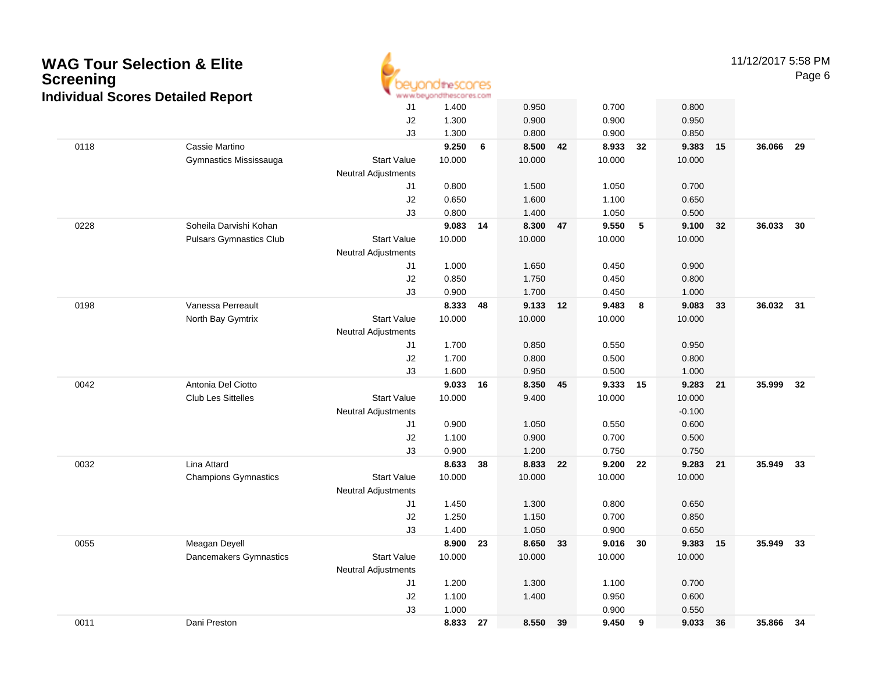| <b>Screening</b> | <b>WAG Tour Selection &amp; Elite</b><br><b>Individual Scores Detailed Report</b> |                                                  | direscores<br>www.beuondthescores.com |     |        |    |          |     |                    |    | 11/12/2017 5:58 PM | Page 6 |
|------------------|-----------------------------------------------------------------------------------|--------------------------------------------------|---------------------------------------|-----|--------|----|----------|-----|--------------------|----|--------------------|--------|
|                  |                                                                                   | J <sub>1</sub>                                   | 1.400                                 |     | 0.950  |    | 0.700    |     | 0.800              |    |                    |        |
|                  |                                                                                   | J2                                               | 1.300                                 |     | 0.900  |    | 0.900    |     | 0.950              |    |                    |        |
|                  |                                                                                   | J3                                               | 1.300                                 |     | 0.800  |    | 0.900    |     | 0.850              |    |                    |        |
| 0118             | Cassie Martino                                                                    |                                                  | 9.250                                 | 6   | 8.500  | 42 | 8.933    | 32  | 9.383              | 15 | 36.066             | 29     |
|                  | Gymnastics Mississauga                                                            | <b>Start Value</b><br><b>Neutral Adjustments</b> | 10.000                                |     | 10.000 |    | 10.000   |     | 10.000             |    |                    |        |
|                  |                                                                                   | J1                                               | 0.800                                 |     | 1.500  |    | 1.050    |     | 0.700              |    |                    |        |
|                  |                                                                                   | J2                                               | 0.650                                 |     | 1.600  |    | 1.100    |     | 0.650              |    |                    |        |
|                  |                                                                                   | J3                                               | 0.800                                 |     | 1.400  |    | 1.050    |     | 0.500              |    |                    |        |
| 0228             | Soheila Darvishi Kohan                                                            |                                                  | 9.083 14                              |     | 8.300  | 47 | 9.550    | 5   | 9.100              | 32 | 36.033             | 30     |
|                  | <b>Pulsars Gymnastics Club</b>                                                    | <b>Start Value</b>                               | 10.000                                |     | 10.000 |    | 10.000   |     | 10.000             |    |                    |        |
|                  |                                                                                   | Neutral Adjustments                              |                                       |     |        |    |          |     |                    |    |                    |        |
|                  |                                                                                   | J1                                               | 1.000                                 |     | 1.650  |    | 0.450    |     | 0.900              |    |                    |        |
|                  |                                                                                   | J2                                               | 0.850                                 |     | 1.750  |    | 0.450    |     | 0.800              |    |                    |        |
|                  |                                                                                   | J3                                               | 0.900                                 |     | 1.700  |    | 0.450    |     | 1.000              |    |                    |        |
| 0198             | Vanessa Perreault                                                                 |                                                  | 8.333                                 | 48  | 9.133  | 12 | 9.483    | - 8 | 9.083              | 33 | 36.032 31          |        |
|                  | North Bay Gymtrix                                                                 | <b>Start Value</b><br><b>Neutral Adjustments</b> | 10.000                                |     | 10.000 |    | 10.000   |     | 10.000             |    |                    |        |
|                  |                                                                                   | J1                                               | 1.700                                 |     | 0.850  |    | 0.550    |     | 0.950              |    |                    |        |
|                  |                                                                                   | J2                                               | 1.700                                 |     | 0.800  |    | 0.500    |     | 0.800              |    |                    |        |
|                  |                                                                                   | J3                                               | 1.600                                 |     | 0.950  |    | 0.500    |     | 1.000              |    |                    |        |
| 0042             | Antonia Del Ciotto                                                                |                                                  | 9.033 16                              |     | 8.350  | 45 | 9.333 15 |     | 9.283              | 21 | 35.999             | 32     |
|                  | <b>Club Les Sittelles</b>                                                         | <b>Start Value</b><br><b>Neutral Adjustments</b> | 10.000                                |     | 9.400  |    | 10.000   |     | 10.000<br>$-0.100$ |    |                    |        |
|                  |                                                                                   | J1                                               | 0.900                                 |     | 1.050  |    | 0.550    |     | 0.600              |    |                    |        |
|                  |                                                                                   | J2                                               | 1.100                                 |     | 0.900  |    | 0.700    |     | 0.500              |    |                    |        |
|                  |                                                                                   | J3                                               | 0.900                                 |     | 1.200  |    | 0.750    |     | 0.750              |    |                    |        |
| 0032             | Lina Attard                                                                       |                                                  | 8.633                                 | -38 | 8.833  | 22 | 9.200    | 22  | 9.283              | 21 | 35.949             | 33     |
|                  | <b>Champions Gymnastics</b>                                                       | <b>Start Value</b>                               | 10.000                                |     | 10.000 |    | 10.000   |     | 10.000             |    |                    |        |
|                  |                                                                                   | <b>Neutral Adjustments</b>                       |                                       |     |        |    |          |     |                    |    |                    |        |
|                  |                                                                                   | J1                                               | 1.450                                 |     | 1.300  |    | 0.800    |     | 0.650              |    |                    |        |
|                  |                                                                                   | J2                                               | 1.250                                 |     | 1.150  |    | 0.700    |     | 0.850              |    |                    |        |
|                  |                                                                                   | J3                                               | 1.400                                 |     | 1.050  |    | 0.900    |     | 0.650              |    |                    |        |
| 0055             | Meagan Deyell                                                                     |                                                  | 8.900                                 | 23  | 8.650  | 33 | 9.016    | 30  | 9.383              | 15 | 35.949             | 33     |
|                  | Dancemakers Gymnastics                                                            | <b>Start Value</b><br><b>Neutral Adjustments</b> | 10.000                                |     | 10.000 |    | 10.000   |     | 10.000             |    |                    |        |
|                  |                                                                                   | J1                                               | 1.200                                 |     | 1.300  |    | 1.100    |     | 0.700              |    |                    |        |
|                  |                                                                                   | J2                                               | 1.100                                 |     | 1.400  |    | 0.950    |     | 0.600              |    |                    |        |
|                  |                                                                                   | J3                                               | 1.000                                 |     |        |    | 0.900    |     | 0.550              |    |                    |        |
| 0011             | Dani Preston                                                                      |                                                  | 8.833                                 | 27  | 8.550  | 39 | 9.450    | 9   | 9.033 36           |    | 35.866             | 34     |

 $\overline{\phantom{a}}$ 

Dani Preston **8.833 <sup>27</sup> 8.550 <sup>39</sup> 9.450 <sup>9</sup> 9.033 <sup>36</sup> 35.866 <sup>34</sup>**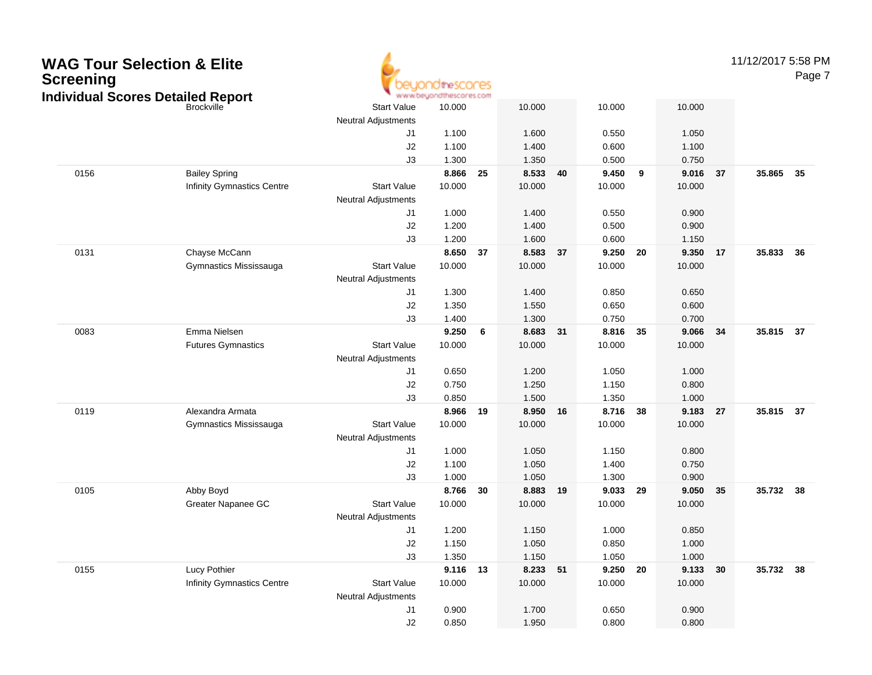| <b>Screening</b> | <b>WAG Tour Selection &amp; Elite</b><br><b>Individual Scores Detailed Report</b> |                                                  | theSCOCES<br>www.beyondthescores.com |    |        |    |          |    |        |    | 11/12/2017 5:58 PM | Page 7 |
|------------------|-----------------------------------------------------------------------------------|--------------------------------------------------|--------------------------------------|----|--------|----|----------|----|--------|----|--------------------|--------|
|                  | <b>Brockville</b>                                                                 | <b>Start Value</b>                               | 10.000                               |    | 10.000 |    | 10.000   |    | 10.000 |    |                    |        |
|                  |                                                                                   | <b>Neutral Adjustments</b>                       |                                      |    |        |    |          |    |        |    |                    |        |
|                  |                                                                                   | J1                                               | 1.100                                |    | 1.600  |    | 0.550    |    | 1.050  |    |                    |        |
|                  |                                                                                   | J2                                               | 1.100                                |    | 1.400  |    | 0.600    |    | 1.100  |    |                    |        |
|                  |                                                                                   | J3                                               | 1.300                                |    | 1.350  |    | 0.500    |    | 0.750  |    |                    |        |
| 0156             | <b>Bailey Spring</b>                                                              |                                                  | 8.866                                | 25 | 8.533  | 40 | 9.450    | 9  | 9.016  | 37 | 35.865             | 35     |
|                  | <b>Infinity Gymnastics Centre</b>                                                 | <b>Start Value</b>                               | 10.000                               |    | 10.000 |    | 10.000   |    | 10.000 |    |                    |        |
|                  |                                                                                   | <b>Neutral Adjustments</b>                       |                                      |    |        |    |          |    |        |    |                    |        |
|                  |                                                                                   | J1                                               | 1.000                                |    | 1.400  |    | 0.550    |    | 0.900  |    |                    |        |
|                  |                                                                                   | J2                                               | 1.200                                |    | 1.400  |    | 0.500    |    | 0.900  |    |                    |        |
|                  |                                                                                   | J3                                               | 1.200                                |    | 1.600  |    | 0.600    |    | 1.150  |    |                    |        |
| 0131             | Chayse McCann                                                                     |                                                  | 8.650 37                             |    | 8.583  | 37 | 9.250    | 20 | 9.350  | 17 | 35.833             | 36     |
|                  | Gymnastics Mississauga                                                            | <b>Start Value</b>                               | 10.000                               |    | 10.000 |    | 10.000   |    | 10.000 |    |                    |        |
|                  |                                                                                   | <b>Neutral Adjustments</b>                       |                                      |    |        |    |          |    |        |    |                    |        |
|                  |                                                                                   | J1                                               | 1.300                                |    | 1.400  |    | 0.850    |    | 0.650  |    |                    |        |
|                  |                                                                                   | J2                                               | 1.350                                |    | 1.550  |    | 0.650    |    | 0.600  |    |                    |        |
|                  |                                                                                   | J3                                               | 1.400                                |    | 1.300  |    | 0.750    |    | 0.700  |    |                    |        |
| 0083             | Emma Nielsen                                                                      |                                                  | 9.250                                | 6  | 8.683  | 31 | 8.816    | 35 | 9.066  | 34 | 35.815             | 37     |
|                  | <b>Futures Gymnastics</b>                                                         | <b>Start Value</b>                               | 10.000                               |    | 10.000 |    | 10.000   |    | 10.000 |    |                    |        |
|                  |                                                                                   | <b>Neutral Adjustments</b>                       |                                      |    |        |    |          |    |        |    |                    |        |
|                  |                                                                                   | J1                                               | 0.650                                |    | 1.200  |    | 1.050    |    | 1.000  |    |                    |        |
|                  |                                                                                   | J2                                               | 0.750                                |    | 1.250  |    | 1.150    |    | 0.800  |    |                    |        |
|                  |                                                                                   | J3                                               | 0.850                                |    | 1.500  |    | 1.350    |    | 1.000  |    |                    |        |
| 0119             | Alexandra Armata                                                                  |                                                  | 8.966                                | 19 | 8.950  | 16 | 8.716    | 38 | 9.183  | 27 | 35.815             | 37     |
|                  | Gymnastics Mississauga                                                            | <b>Start Value</b><br><b>Neutral Adjustments</b> | 10.000                               |    | 10.000 |    | 10.000   |    | 10.000 |    |                    |        |
|                  |                                                                                   | J1                                               | 1.000                                |    | 1.050  |    | 1.150    |    | 0.800  |    |                    |        |
|                  |                                                                                   | J2                                               | 1.100                                |    | 1.050  |    | 1.400    |    | 0.750  |    |                    |        |
|                  |                                                                                   | J3                                               | 1.000                                |    | 1.050  |    | 1.300    |    | 0.900  |    |                    |        |
| 0105             | Abby Boyd                                                                         |                                                  | 8.766                                | 30 | 8.883  | 19 | 9.033    | 29 | 9.050  | 35 | 35.732             | 38     |
|                  | Greater Napanee GC                                                                | <b>Start Value</b>                               | 10.000                               |    | 10.000 |    | 10.000   |    | 10.000 |    |                    |        |
|                  |                                                                                   | <b>Neutral Adjustments</b>                       |                                      |    |        |    |          |    |        |    |                    |        |
|                  |                                                                                   | J <sub>1</sub>                                   | 1.200                                |    | 1.150  |    | 1.000    |    | 0.850  |    |                    |        |
|                  |                                                                                   | $\sf J2$                                         | 1.150                                |    | 1.050  |    | 0.850    |    | 1.000  |    |                    |        |
|                  |                                                                                   | J3                                               | 1.350                                |    | 1.150  |    | 1.050    |    | 1.000  |    |                    |        |
| 0155             | Lucy Pothier                                                                      |                                                  | 9.116 13                             |    | 8.233  | 51 | 9.250 20 |    | 9.133  | 30 | 35.732 38          |        |
|                  | Infinity Gymnastics Centre                                                        | <b>Start Value</b>                               | 10.000                               |    | 10.000 |    | 10.000   |    | 10.000 |    |                    |        |
|                  |                                                                                   | <b>Neutral Adjustments</b>                       |                                      |    |        |    |          |    |        |    |                    |        |
|                  |                                                                                   | J1                                               | 0.900                                |    | 1.700  |    | 0.650    |    | 0.900  |    |                    |        |
|                  |                                                                                   | J2                                               | 0.850                                |    | 1.950  |    | 0.800    |    | 0.800  |    |                    |        |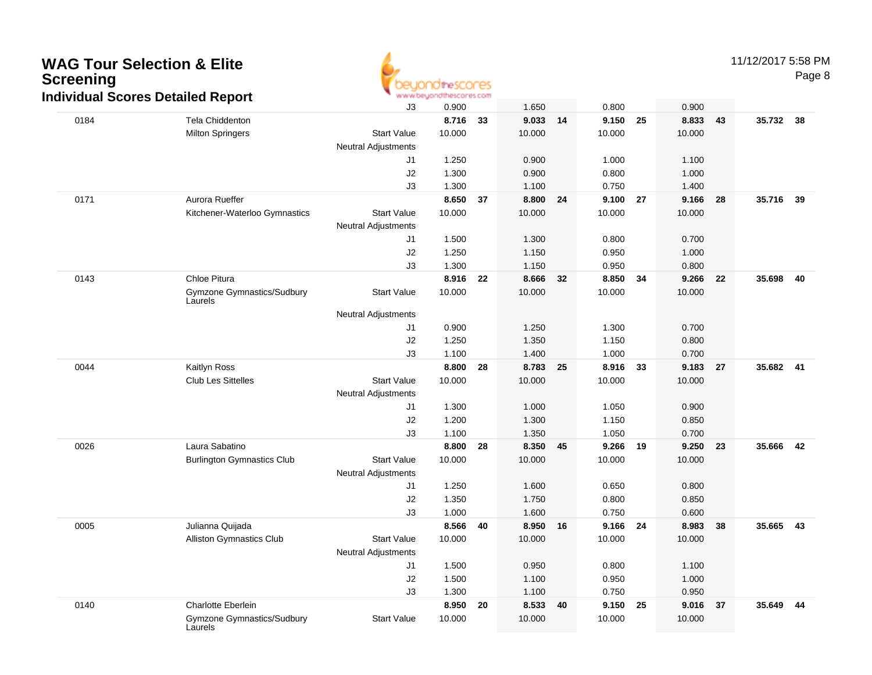

|      | naividuai Scores Detailed Report      |                            | WWW.UUQUU KHI NOLOI NOLUITI |    |        |    |        |    |          |    |           |      |
|------|---------------------------------------|----------------------------|-----------------------------|----|--------|----|--------|----|----------|----|-----------|------|
|      |                                       | J3                         | 0.900                       |    | 1.650  |    | 0.800  |    | 0.900    |    |           |      |
| 0184 | <b>Tela Chiddenton</b>                |                            | 8.716                       | 33 | 9.033  | 14 | 9.150  | 25 | 8.833    | 43 | 35.732 38 |      |
|      | <b>Milton Springers</b>               | <b>Start Value</b>         | 10.000                      |    | 10.000 |    | 10.000 |    | 10.000   |    |           |      |
|      |                                       | <b>Neutral Adjustments</b> |                             |    |        |    |        |    |          |    |           |      |
|      |                                       | J1                         | 1.250                       |    | 0.900  |    | 1.000  |    | 1.100    |    |           |      |
|      |                                       | J2                         | 1.300                       |    | 0.900  |    | 0.800  |    | 1.000    |    |           |      |
|      |                                       | J3                         | 1.300                       |    | 1.100  |    | 0.750  |    | 1.400    |    |           |      |
| 0171 | Aurora Rueffer                        |                            | 8.650                       | 37 | 8.800  | 24 | 9.100  | 27 | 9.166    | 28 | 35.716    | 39   |
|      | Kitchener-Waterloo Gymnastics         | <b>Start Value</b>         | 10.000                      |    | 10.000 |    | 10.000 |    | 10.000   |    |           |      |
|      |                                       | <b>Neutral Adjustments</b> |                             |    |        |    |        |    |          |    |           |      |
|      |                                       | J <sub>1</sub>             | 1.500                       |    | 1.300  |    | 0.800  |    | 0.700    |    |           |      |
|      |                                       | J2                         | 1.250                       |    | 1.150  |    | 0.950  |    | 1.000    |    |           |      |
|      |                                       | J3                         | 1.300                       |    | 1.150  |    | 0.950  |    | 0.800    |    |           |      |
| 0143 | Chloe Pitura                          |                            | 8.916                       | 22 | 8.666  | 32 | 8.850  | 34 | 9.266 22 |    | 35.698    | - 40 |
|      | Gymzone Gymnastics/Sudbury<br>Laurels | <b>Start Value</b>         | 10.000                      |    | 10.000 |    | 10.000 |    | 10.000   |    |           |      |
|      |                                       | <b>Neutral Adjustments</b> |                             |    |        |    |        |    |          |    |           |      |
|      |                                       | J1                         | 0.900                       |    | 1.250  |    | 1.300  |    | 0.700    |    |           |      |
|      |                                       | J2                         | 1.250                       |    | 1.350  |    | 1.150  |    | 0.800    |    |           |      |
|      |                                       | J3                         | 1.100                       |    | 1.400  |    | 1.000  |    | 0.700    |    |           |      |
| 0044 | Kaitlyn Ross                          |                            | 8.800                       | 28 | 8.783  | 25 | 8.916  | 33 | 9.183    | 27 | 35.682 41 |      |
|      | <b>Club Les Sittelles</b>             | <b>Start Value</b>         | 10.000                      |    | 10.000 |    | 10.000 |    | 10.000   |    |           |      |
|      |                                       | <b>Neutral Adjustments</b> |                             |    |        |    |        |    |          |    |           |      |
|      |                                       | J <sub>1</sub>             | 1.300                       |    | 1.000  |    | 1.050  |    | 0.900    |    |           |      |
|      |                                       | J2                         | 1.200                       |    | 1.300  |    | 1.150  |    | 0.850    |    |           |      |
|      |                                       | J3                         | 1.100                       |    | 1.350  |    | 1.050  |    | 0.700    |    |           |      |
| 0026 | Laura Sabatino                        |                            | 8.800                       | 28 | 8.350  | 45 | 9.266  | 19 | 9.250 23 |    | 35.666    | 42   |
|      | <b>Burlington Gymnastics Club</b>     | <b>Start Value</b>         | 10.000                      |    | 10.000 |    | 10.000 |    | 10.000   |    |           |      |
|      |                                       | <b>Neutral Adjustments</b> |                             |    |        |    |        |    |          |    |           |      |
|      |                                       | J1                         | 1.250                       |    | 1.600  |    | 0.650  |    | 0.800    |    |           |      |
|      |                                       | J2                         | 1.350                       |    | 1.750  |    | 0.800  |    | 0.850    |    |           |      |
|      |                                       | J3                         | 1.000                       |    | 1.600  |    | 0.750  |    | 0.600    |    |           |      |
| 0005 | Julianna Quijada                      |                            | 8.566                       | 40 | 8.950  | 16 | 9.166  | 24 | 8.983    | 38 | 35.665 43 |      |
|      | <b>Alliston Gymnastics Club</b>       | <b>Start Value</b>         | 10.000                      |    | 10.000 |    | 10.000 |    | 10.000   |    |           |      |
|      |                                       | <b>Neutral Adjustments</b> |                             |    |        |    |        |    |          |    |           |      |
|      |                                       | J1                         | 1.500                       |    | 0.950  |    | 0.800  |    | 1.100    |    |           |      |
|      |                                       | J2                         | 1.500                       |    | 1.100  |    | 0.950  |    | 1.000    |    |           |      |
|      |                                       | J3                         | 1.300                       |    | 1.100  |    | 0.750  |    | 0.950    |    |           |      |
| 0140 | <b>Charlotte Eberlein</b>             |                            | 8.950                       | 20 | 8.533  | 40 | 9.150  | 25 | 9.016 37 |    | 35.649    | 44   |
|      | Gymzone Gymnastics/Sudbury<br>Laurels | <b>Start Value</b>         | 10.000                      |    | 10.000 |    | 10.000 |    | 10.000   |    |           |      |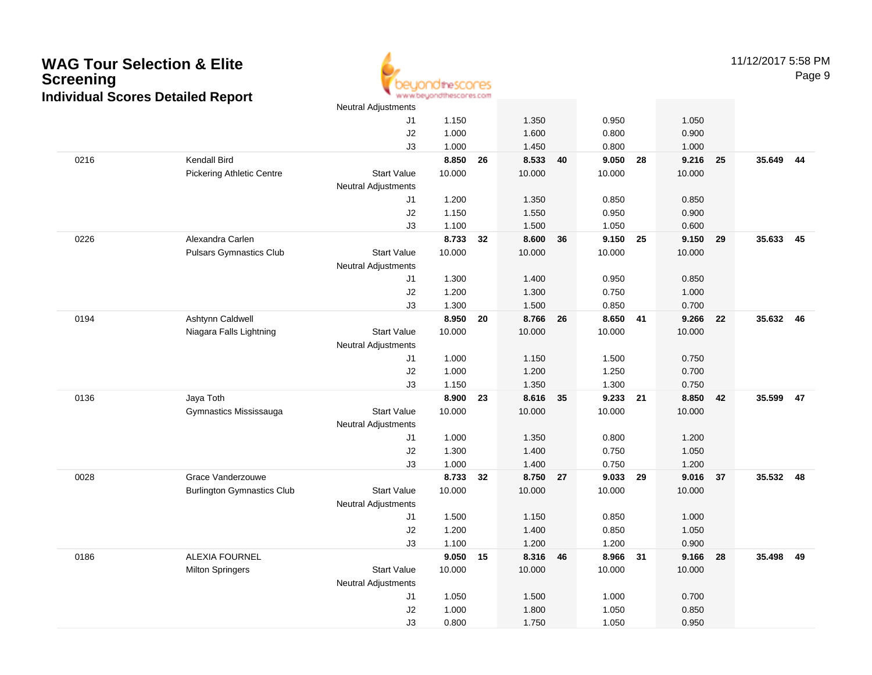

11/12/2017 5:58 PMPage 9

|      |                                   | <b>Neutral Adjustments</b> |        |    |          |    |          |      |        |    |           |      |
|------|-----------------------------------|----------------------------|--------|----|----------|----|----------|------|--------|----|-----------|------|
|      |                                   | J1                         | 1.150  |    | 1.350    |    | 0.950    |      | 1.050  |    |           |      |
|      |                                   | J2                         | 1.000  |    | 1.600    |    | 0.800    |      | 0.900  |    |           |      |
|      |                                   | J3                         | 1.000  |    | 1.450    |    | 0.800    |      | 1.000  |    |           |      |
| 0216 | Kendall Bird                      |                            | 8.850  | 26 | 8.533    | 40 | 9.050    | 28   | 9.216  | 25 | 35.649 44 |      |
|      | <b>Pickering Athletic Centre</b>  | <b>Start Value</b>         | 10.000 |    | 10.000   |    | 10.000   |      | 10.000 |    |           |      |
|      |                                   | <b>Neutral Adjustments</b> |        |    |          |    |          |      |        |    |           |      |
|      |                                   | J1                         | 1.200  |    | 1.350    |    | 0.850    |      | 0.850  |    |           |      |
|      |                                   | J2                         | 1.150  |    | 1.550    |    | 0.950    |      | 0.900  |    |           |      |
|      |                                   | J3                         | 1.100  |    | 1.500    |    | 1.050    |      | 0.600  |    |           |      |
| 0226 | Alexandra Carlen                  |                            | 8.733  | 32 | 8.600    | 36 | 9.150    | 25   | 9.150  | 29 | 35.633    | - 45 |
|      | <b>Pulsars Gymnastics Club</b>    | <b>Start Value</b>         | 10.000 |    | 10.000   |    | 10.000   |      | 10.000 |    |           |      |
|      |                                   | <b>Neutral Adjustments</b> |        |    |          |    |          |      |        |    |           |      |
|      |                                   | J1                         | 1.300  |    | 1.400    |    | 0.950    |      | 0.850  |    |           |      |
|      |                                   | J2                         | 1.200  |    | 1.300    |    | 0.750    |      | 1.000  |    |           |      |
|      |                                   | J3                         | 1.300  |    | 1.500    |    | 0.850    |      | 0.700  |    |           |      |
| 0194 | Ashtynn Caldwell                  |                            | 8.950  | 20 | 8.766    | 26 | 8.650 41 |      | 9.266  | 22 | 35.632 46 |      |
|      | Niagara Falls Lightning           | <b>Start Value</b>         | 10.000 |    | 10.000   |    | 10.000   |      | 10.000 |    |           |      |
|      |                                   | <b>Neutral Adjustments</b> |        |    |          |    |          |      |        |    |           |      |
|      |                                   | J1                         | 1.000  |    | 1.150    |    | 1.500    |      | 0.750  |    |           |      |
|      |                                   | J2                         | 1.000  |    | 1.200    |    | 1.250    |      | 0.700  |    |           |      |
|      |                                   | J3                         | 1.150  |    | 1.350    |    | 1.300    |      | 0.750  |    |           |      |
| 0136 | Jaya Toth                         |                            | 8.900  | 23 | 8.616 35 |    | 9.233    | - 21 | 8.850  | 42 | 35.599    | 47   |
|      | Gymnastics Mississauga            | <b>Start Value</b>         | 10.000 |    | 10.000   |    | 10.000   |      | 10.000 |    |           |      |
|      |                                   | <b>Neutral Adjustments</b> |        |    |          |    |          |      |        |    |           |      |
|      |                                   | J1                         | 1.000  |    | 1.350    |    | 0.800    |      | 1.200  |    |           |      |
|      |                                   | J2                         | 1.300  |    | 1.400    |    | 0.750    |      | 1.050  |    |           |      |
|      |                                   | J3                         | 1.000  |    | 1.400    |    | 0.750    |      | 1.200  |    |           |      |
| 0028 | Grace Vanderzouwe                 |                            | 8.733  | 32 | 8.750 27 |    | 9.033 29 |      | 9.016  | 37 | 35.532 48 |      |
|      | <b>Burlington Gymnastics Club</b> | <b>Start Value</b>         | 10.000 |    | 10.000   |    | 10.000   |      | 10.000 |    |           |      |
|      |                                   | <b>Neutral Adjustments</b> |        |    |          |    |          |      |        |    |           |      |
|      |                                   | J1                         | 1.500  |    | 1.150    |    | 0.850    |      | 1.000  |    |           |      |
|      |                                   | J2                         | 1.200  |    | 1.400    |    | 0.850    |      | 1.050  |    |           |      |
|      |                                   | J3                         | 1.100  |    | 1.200    |    | 1.200    |      | 0.900  |    |           |      |
| 0186 | <b>ALEXIA FOURNEL</b>             |                            | 9.050  | 15 | 8.316    | 46 | 8.966    | 31   | 9.166  | 28 | 35.498    | 49   |
|      | <b>Milton Springers</b>           | <b>Start Value</b>         | 10.000 |    | 10.000   |    | 10.000   |      | 10.000 |    |           |      |
|      |                                   | <b>Neutral Adjustments</b> |        |    |          |    |          |      |        |    |           |      |
|      |                                   | J1                         | 1.050  |    | 1.500    |    | 1.000    |      | 0.700  |    |           |      |
|      |                                   | J2                         | 1.000  |    | 1.800    |    | 1.050    |      | 0.850  |    |           |      |
|      |                                   | J3                         | 0.800  |    | 1.750    |    | 1.050    |      | 0.950  |    |           |      |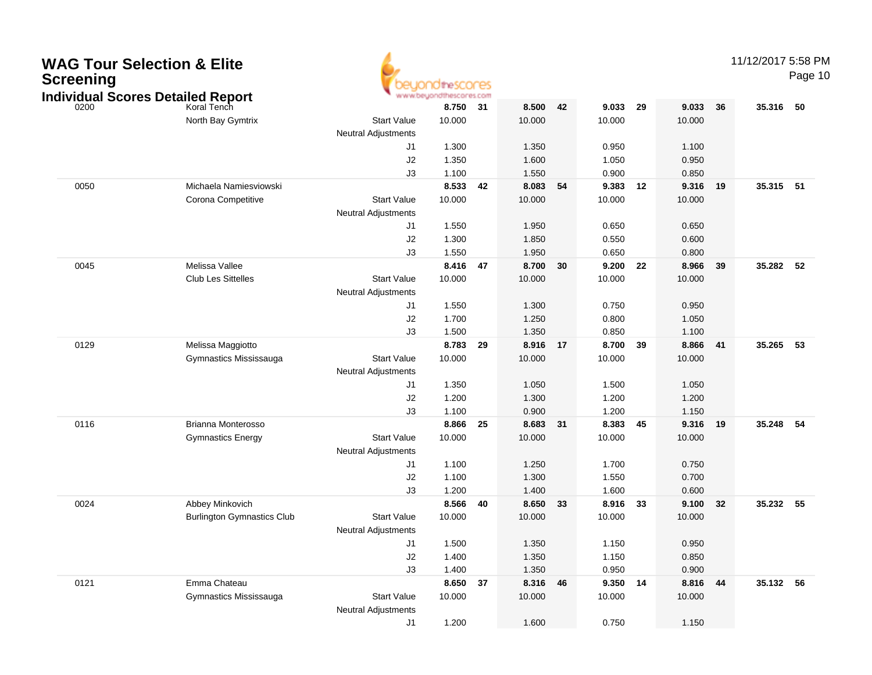| <b>WAG Tour Selection &amp; Elite</b><br><b>Screening</b><br><b>Individual Scores Detailed Report</b> |                                   |                            | idtheSCONES<br>www.beyondthescores.com |      |          |    |          |    |          |    | 11/12/2017 5:58 PM | Page 10 |
|-------------------------------------------------------------------------------------------------------|-----------------------------------|----------------------------|----------------------------------------|------|----------|----|----------|----|----------|----|--------------------|---------|
| 0200                                                                                                  | Koral Tench                       |                            | 8.750                                  | 31   | 8.500    | 42 | 9.033    | 29 | 9.033    | 36 | 35.316 50          |         |
|                                                                                                       | North Bay Gymtrix                 | <b>Start Value</b>         | 10.000                                 |      | 10.000   |    | 10.000   |    | 10.000   |    |                    |         |
|                                                                                                       |                                   | <b>Neutral Adjustments</b> |                                        |      |          |    |          |    |          |    |                    |         |
|                                                                                                       |                                   | J1                         | 1.300                                  |      | 1.350    |    | 0.950    |    | 1.100    |    |                    |         |
|                                                                                                       |                                   | J2                         | 1.350                                  |      | 1.600    |    | 1.050    |    | 0.950    |    |                    |         |
|                                                                                                       |                                   | J3                         | 1.100                                  |      | 1.550    |    | 0.900    |    | 0.850    |    |                    |         |
| 0050                                                                                                  | Michaela Namiesviowski            |                            | 8.533                                  | 42   | 8.083    | 54 | 9.383    | 12 | 9.316    | 19 | 35.315 51          |         |
|                                                                                                       | Corona Competitive                | <b>Start Value</b>         | 10.000                                 |      | 10.000   |    | 10.000   |    | 10.000   |    |                    |         |
|                                                                                                       |                                   | <b>Neutral Adjustments</b> |                                        |      |          |    |          |    |          |    |                    |         |
|                                                                                                       |                                   | J1                         | 1.550                                  |      | 1.950    |    | 0.650    |    | 0.650    |    |                    |         |
|                                                                                                       |                                   | J2                         | 1.300                                  |      | 1.850    |    | 0.550    |    | 0.600    |    |                    |         |
|                                                                                                       |                                   | J3                         | 1.550                                  |      | 1.950    |    | 0.650    |    | 0.800    |    |                    |         |
| 0045                                                                                                  | Melissa Vallee                    |                            | 8.416 47                               |      | 8.700    | 30 | 9.200    | 22 | 8.966    | 39 | 35.282             | 52      |
|                                                                                                       | <b>Club Les Sittelles</b>         | <b>Start Value</b>         | 10.000                                 |      | 10.000   |    | 10.000   |    | 10.000   |    |                    |         |
|                                                                                                       |                                   | <b>Neutral Adjustments</b> |                                        |      |          |    |          |    |          |    |                    |         |
|                                                                                                       |                                   | J1                         | 1.550                                  |      | 1.300    |    | 0.750    |    | 0.950    |    |                    |         |
|                                                                                                       |                                   | J2                         | 1.700                                  |      | 1.250    |    | 0.800    |    | 1.050    |    |                    |         |
|                                                                                                       |                                   | J3                         | 1.500                                  |      | 1.350    |    | 0.850    |    | 1.100    |    |                    |         |
| 0129                                                                                                  | Melissa Maggiotto                 |                            | 8.783                                  | 29   | 8.916    | 17 | 8.700    | 39 | 8.866    | 41 | 35.265             | 53      |
|                                                                                                       | Gymnastics Mississauga            | <b>Start Value</b>         | 10.000                                 |      | 10.000   |    | 10.000   |    | 10.000   |    |                    |         |
|                                                                                                       |                                   | <b>Neutral Adjustments</b> |                                        |      |          |    |          |    |          |    |                    |         |
|                                                                                                       |                                   | J1                         | 1.350                                  |      | 1.050    |    | 1.500    |    | 1.050    |    |                    |         |
|                                                                                                       |                                   | J <sub>2</sub>             | 1.200                                  |      | 1.300    |    | 1.200    |    | 1.200    |    |                    |         |
|                                                                                                       |                                   | J3                         | 1.100                                  |      | 0.900    |    | 1.200    |    | 1.150    |    |                    |         |
| 0116                                                                                                  | Brianna Monterosso                |                            | 8.866                                  | - 25 | 8.683    | 31 | 8.383    | 45 | 9.316    | 19 | 35.248             | 54      |
|                                                                                                       | <b>Gymnastics Energy</b>          | <b>Start Value</b>         | 10.000                                 |      | 10.000   |    | 10.000   |    | 10.000   |    |                    |         |
|                                                                                                       |                                   | <b>Neutral Adjustments</b> |                                        |      |          |    |          |    |          |    |                    |         |
|                                                                                                       |                                   | J1                         | 1.100                                  |      | 1.250    |    | 1.700    |    | 0.750    |    |                    |         |
|                                                                                                       |                                   | J <sub>2</sub>             | 1.100                                  |      | 1.300    |    | 1.550    |    | 0.700    |    |                    |         |
|                                                                                                       |                                   | J3                         | 1.200                                  |      | 1.400    |    | 1.600    |    | 0.600    |    |                    |         |
| 0024                                                                                                  | Abbey Minkovich                   |                            | 8.566                                  | - 40 | 8.650    | 33 | 8.916    | 33 | 9.100    | 32 | 35.232             | 55      |
|                                                                                                       | <b>Burlington Gymnastics Club</b> | <b>Start Value</b>         | 10.000                                 |      | 10.000   |    | 10.000   |    | 10.000   |    |                    |         |
|                                                                                                       |                                   | <b>Neutral Adjustments</b> |                                        |      |          |    |          |    |          |    |                    |         |
|                                                                                                       |                                   |                            | 1.500                                  |      | 1.350    |    | 1.150    |    | 0.950    |    |                    |         |
|                                                                                                       |                                   | J2                         | 1.400                                  |      | 1.350    |    | 1.150    |    | 0.850    |    |                    |         |
|                                                                                                       |                                   | J3                         | 1.400                                  |      | 1.350    |    | 0.950    |    | 0.900    |    |                    |         |
| 0121                                                                                                  | Emma Chateau                      |                            | 8.650 37                               |      | 8.316 46 |    | 9.350 14 |    | 8.816 44 |    | 35.132 56          |         |
|                                                                                                       | Gymnastics Mississauga            | <b>Start Value</b>         | 10.000                                 |      | 10.000   |    | 10.000   |    | 10.000   |    |                    |         |
|                                                                                                       |                                   | Neutral Adjustments        |                                        |      |          |    |          |    |          |    |                    |         |
|                                                                                                       |                                   | J1                         | 1.200                                  |      | 1.600    |    | 0.750    |    | 1.150    |    |                    |         |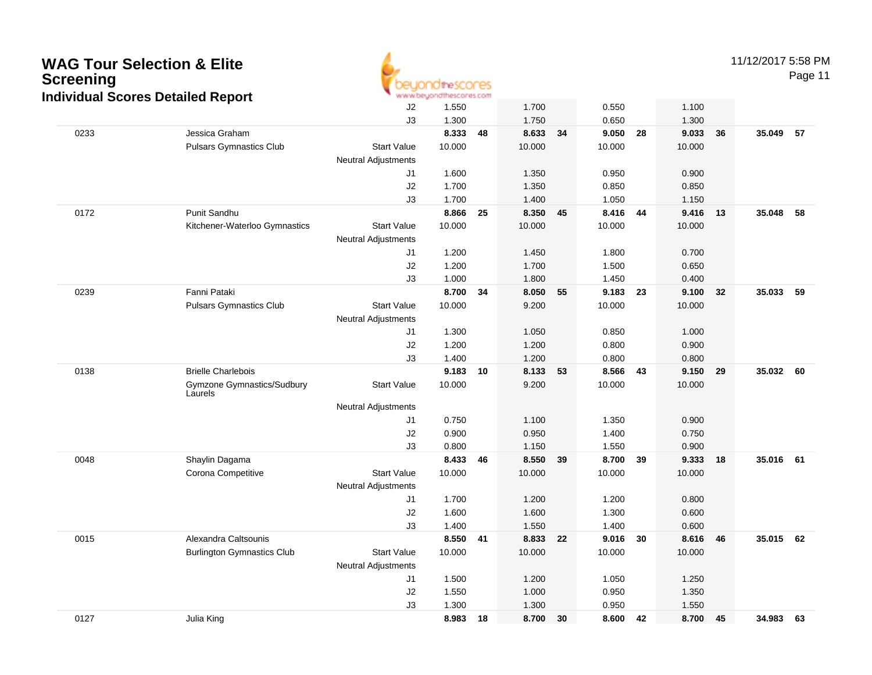

11/12/2017 5:58 PM

| dividual Scores Detailed Report |                                       |                            |        |    |        |    |          |    |        |    |           |      |
|---------------------------------|---------------------------------------|----------------------------|--------|----|--------|----|----------|----|--------|----|-----------|------|
|                                 |                                       | J2                         | 1.550  |    | 1.700  |    | 0.550    |    | 1.100  |    |           |      |
|                                 |                                       | J3                         | 1.300  |    | 1.750  |    | 0.650    |    | 1.300  |    |           |      |
| 0233                            | Jessica Graham                        |                            | 8.333  | 48 | 8.633  | 34 | 9.050    | 28 | 9.033  | 36 | 35.049    | 57   |
|                                 | <b>Pulsars Gymnastics Club</b>        | <b>Start Value</b>         | 10.000 |    | 10.000 |    | 10.000   |    | 10.000 |    |           |      |
|                                 |                                       | <b>Neutral Adjustments</b> |        |    |        |    |          |    |        |    |           |      |
|                                 |                                       | J1                         | 1.600  |    | 1.350  |    | 0.950    |    | 0.900  |    |           |      |
|                                 |                                       | J2                         | 1.700  |    | 1.350  |    | 0.850    |    | 0.850  |    |           |      |
|                                 |                                       | J3                         | 1.700  |    | 1.400  |    | 1.050    |    | 1.150  |    |           |      |
| 0172                            | Punit Sandhu                          |                            | 8.866  | 25 | 8.350  | 45 | 8.416    | 44 | 9.416  | 13 | 35.048    | 58   |
|                                 | Kitchener-Waterloo Gymnastics         | <b>Start Value</b>         | 10.000 |    | 10.000 |    | 10.000   |    | 10.000 |    |           |      |
|                                 |                                       | <b>Neutral Adjustments</b> |        |    |        |    |          |    |        |    |           |      |
|                                 |                                       | J1                         | 1.200  |    | 1.450  |    | 1.800    |    | 0.700  |    |           |      |
|                                 |                                       | J2                         | 1.200  |    | 1.700  |    | 1.500    |    | 0.650  |    |           |      |
|                                 |                                       | J3                         | 1.000  |    | 1.800  |    | 1.450    |    | 0.400  |    |           |      |
| 0239                            | Fanni Pataki                          |                            | 8.700  | 34 | 8.050  | 55 | 9.183 23 |    | 9.100  | 32 | 35.033    | 59   |
|                                 | <b>Pulsars Gymnastics Club</b>        | <b>Start Value</b>         | 10.000 |    | 9.200  |    | 10.000   |    | 10.000 |    |           |      |
|                                 |                                       | <b>Neutral Adjustments</b> |        |    |        |    |          |    |        |    |           |      |
|                                 |                                       | J1                         | 1.300  |    | 1.050  |    | 0.850    |    | 1.000  |    |           |      |
|                                 |                                       | J2                         | 1.200  |    | 1.200  |    | 0.800    |    | 0.900  |    |           |      |
|                                 |                                       | J3                         | 1.400  |    | 1.200  |    | 0.800    |    | 0.800  |    |           |      |
| 0138                            | <b>Brielle Charlebois</b>             |                            | 9.183  | 10 | 8.133  | 53 | 8.566 43 |    | 9.150  | 29 | 35.032    | - 60 |
|                                 | Gymzone Gymnastics/Sudbury<br>Laurels | <b>Start Value</b>         | 10.000 |    | 9.200  |    | 10.000   |    | 10.000 |    |           |      |
|                                 |                                       | <b>Neutral Adjustments</b> |        |    |        |    |          |    |        |    |           |      |
|                                 |                                       | J1                         | 0.750  |    | 1.100  |    | 1.350    |    | 0.900  |    |           |      |
|                                 |                                       | J2                         | 0.900  |    | 0.950  |    | 1.400    |    | 0.750  |    |           |      |
|                                 |                                       | J3                         | 0.800  |    | 1.150  |    | 1.550    |    | 0.900  |    |           |      |
| 0048                            | Shaylin Dagama                        |                            | 8.433  | 46 | 8.550  | 39 | 8.700 39 |    | 9.333  | 18 | 35.016 61 |      |
|                                 | Corona Competitive                    | <b>Start Value</b>         | 10.000 |    | 10.000 |    | 10.000   |    | 10.000 |    |           |      |
|                                 |                                       | <b>Neutral Adjustments</b> |        |    |        |    |          |    |        |    |           |      |
|                                 |                                       | J1                         | 1.700  |    | 1.200  |    | 1.200    |    | 0.800  |    |           |      |
|                                 |                                       | J2                         | 1.600  |    | 1.600  |    | 1.300    |    | 0.600  |    |           |      |
|                                 |                                       | J3                         | 1.400  |    | 1.550  |    | 1.400    |    | 0.600  |    |           |      |
| 0015                            | Alexandra Caltsounis                  |                            | 8.550  | 41 | 8.833  | 22 | 9.016    | 30 | 8.616  | 46 | 35.015    | 62   |
|                                 | <b>Burlington Gymnastics Club</b>     | <b>Start Value</b>         | 10.000 |    | 10.000 |    | 10.000   |    | 10.000 |    |           |      |
|                                 |                                       | <b>Neutral Adjustments</b> |        |    |        |    |          |    |        |    |           |      |
|                                 |                                       | J1                         | 1.500  |    | 1.200  |    | 1.050    |    | 1.250  |    |           |      |
|                                 |                                       | J2                         | 1.550  |    | 1.000  |    | 0.950    |    | 1.350  |    |           |      |
|                                 |                                       | J3                         | 1.300  |    | 1.300  |    | 0.950    |    | 1.550  |    |           |      |
| 0127                            | Julia King                            |                            | 8.983  | 18 | 8.700  | 30 | 8.600    | 42 | 8.700  | 45 | 34.983    | 63   |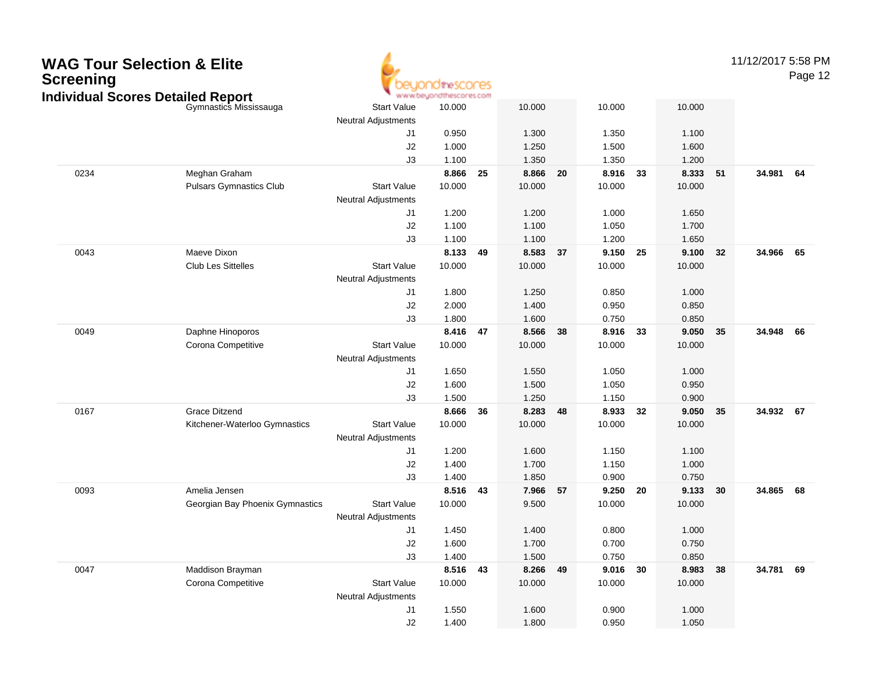### **WAG Tour Selection & EliteScreening**



11/12/2017 5:58 PM

| Gymnastics Mississauga          | <b>Start Value</b>                                                                                                                                                | 10.000                                                                                                                                                                  |                                                                                 | 10.000                                                      |                                                                         | 10.000 |                                                                                           | 10.000                              |                                                                                                             |                                  |                                                                            |
|---------------------------------|-------------------------------------------------------------------------------------------------------------------------------------------------------------------|-------------------------------------------------------------------------------------------------------------------------------------------------------------------------|---------------------------------------------------------------------------------|-------------------------------------------------------------|-------------------------------------------------------------------------|--------|-------------------------------------------------------------------------------------------|-------------------------------------|-------------------------------------------------------------------------------------------------------------|----------------------------------|----------------------------------------------------------------------------|
|                                 |                                                                                                                                                                   |                                                                                                                                                                         |                                                                                 |                                                             |                                                                         |        |                                                                                           |                                     |                                                                                                             |                                  |                                                                            |
|                                 | J1                                                                                                                                                                | 0.950                                                                                                                                                                   |                                                                                 | 1.300                                                       |                                                                         | 1.350  |                                                                                           |                                     |                                                                                                             |                                  |                                                                            |
|                                 |                                                                                                                                                                   | 1.000                                                                                                                                                                   |                                                                                 | 1.250                                                       |                                                                         |        |                                                                                           |                                     |                                                                                                             |                                  |                                                                            |
|                                 | J3                                                                                                                                                                |                                                                                                                                                                         |                                                                                 |                                                             |                                                                         |        |                                                                                           |                                     |                                                                                                             |                                  |                                                                            |
|                                 |                                                                                                                                                                   |                                                                                                                                                                         | 25                                                                              |                                                             | 20                                                                      |        | 33                                                                                        |                                     |                                                                                                             |                                  |                                                                            |
|                                 | <b>Start Value</b>                                                                                                                                                |                                                                                                                                                                         |                                                                                 |                                                             |                                                                         |        |                                                                                           |                                     |                                                                                                             |                                  |                                                                            |
|                                 | <b>Neutral Adjustments</b>                                                                                                                                        |                                                                                                                                                                         |                                                                                 |                                                             |                                                                         |        |                                                                                           |                                     |                                                                                                             |                                  |                                                                            |
|                                 | J <sub>1</sub>                                                                                                                                                    | 1.200                                                                                                                                                                   |                                                                                 | 1.200                                                       |                                                                         | 1.000  |                                                                                           | 1.650                               |                                                                                                             |                                  |                                                                            |
|                                 |                                                                                                                                                                   |                                                                                                                                                                         |                                                                                 | 1.100                                                       |                                                                         |        |                                                                                           |                                     |                                                                                                             |                                  |                                                                            |
|                                 | J3                                                                                                                                                                |                                                                                                                                                                         |                                                                                 | 1.100                                                       |                                                                         |        |                                                                                           |                                     |                                                                                                             |                                  |                                                                            |
|                                 |                                                                                                                                                                   |                                                                                                                                                                         | 49                                                                              |                                                             | 37                                                                      |        | 25                                                                                        |                                     | 32                                                                                                          |                                  |                                                                            |
| <b>Club Les Sittelles</b>       |                                                                                                                                                                   | 10.000                                                                                                                                                                  |                                                                                 | 10.000                                                      |                                                                         | 10.000 |                                                                                           | 10.000                              |                                                                                                             |                                  |                                                                            |
|                                 |                                                                                                                                                                   |                                                                                                                                                                         |                                                                                 |                                                             |                                                                         |        |                                                                                           |                                     |                                                                                                             |                                  |                                                                            |
|                                 | J <sub>1</sub>                                                                                                                                                    | 1.800                                                                                                                                                                   |                                                                                 | 1.250                                                       |                                                                         | 0.850  |                                                                                           | 1.000                               |                                                                                                             |                                  |                                                                            |
|                                 |                                                                                                                                                                   |                                                                                                                                                                         |                                                                                 |                                                             |                                                                         |        |                                                                                           |                                     |                                                                                                             |                                  |                                                                            |
|                                 | J3                                                                                                                                                                | 1.800                                                                                                                                                                   |                                                                                 | 1.600                                                       |                                                                         | 0.750  |                                                                                           | 0.850                               |                                                                                                             |                                  |                                                                            |
|                                 |                                                                                                                                                                   |                                                                                                                                                                         |                                                                                 | 8.566                                                       | 38                                                                      |        |                                                                                           |                                     |                                                                                                             |                                  |                                                                            |
|                                 |                                                                                                                                                                   | 10.000                                                                                                                                                                  |                                                                                 |                                                             |                                                                         |        |                                                                                           |                                     |                                                                                                             |                                  |                                                                            |
|                                 | <b>Neutral Adjustments</b>                                                                                                                                        |                                                                                                                                                                         |                                                                                 |                                                             |                                                                         |        |                                                                                           |                                     |                                                                                                             |                                  |                                                                            |
|                                 | J <sub>1</sub>                                                                                                                                                    | 1.650                                                                                                                                                                   |                                                                                 | 1.550                                                       |                                                                         |        |                                                                                           | 1.000                               |                                                                                                             |                                  |                                                                            |
|                                 |                                                                                                                                                                   | 1.600                                                                                                                                                                   |                                                                                 | 1.500                                                       |                                                                         | 1.050  |                                                                                           | 0.950                               |                                                                                                             |                                  |                                                                            |
|                                 | J3                                                                                                                                                                | 1.500                                                                                                                                                                   |                                                                                 | 1.250                                                       |                                                                         | 1.150  |                                                                                           |                                     |                                                                                                             |                                  |                                                                            |
|                                 |                                                                                                                                                                   | 8.666                                                                                                                                                                   | 36                                                                              |                                                             | 48                                                                      |        | 32                                                                                        |                                     | 35                                                                                                          |                                  |                                                                            |
|                                 | <b>Start Value</b>                                                                                                                                                |                                                                                                                                                                         |                                                                                 |                                                             |                                                                         |        |                                                                                           |                                     |                                                                                                             |                                  |                                                                            |
|                                 | <b>Neutral Adjustments</b>                                                                                                                                        |                                                                                                                                                                         |                                                                                 |                                                             |                                                                         |        |                                                                                           |                                     |                                                                                                             |                                  |                                                                            |
|                                 | J <sub>1</sub>                                                                                                                                                    | 1.200                                                                                                                                                                   |                                                                                 | 1.600                                                       |                                                                         | 1.150  |                                                                                           | 1.100                               |                                                                                                             |                                  |                                                                            |
|                                 |                                                                                                                                                                   |                                                                                                                                                                         |                                                                                 | 1.700                                                       |                                                                         | 1.150  |                                                                                           | 1.000                               |                                                                                                             |                                  |                                                                            |
|                                 | J3                                                                                                                                                                | 1.400                                                                                                                                                                   |                                                                                 | 1.850                                                       |                                                                         | 0.900  |                                                                                           | 0.750                               |                                                                                                             |                                  |                                                                            |
| Amelia Jensen                   |                                                                                                                                                                   |                                                                                                                                                                         |                                                                                 | 7.966                                                       | 57                                                                      |        | 20                                                                                        |                                     |                                                                                                             |                                  |                                                                            |
| Georgian Bay Phoenix Gymnastics | <b>Start Value</b>                                                                                                                                                | 10.000                                                                                                                                                                  |                                                                                 | 9.500                                                       |                                                                         | 10.000 |                                                                                           | 10.000                              |                                                                                                             |                                  |                                                                            |
|                                 | <b>Neutral Adjustments</b>                                                                                                                                        |                                                                                                                                                                         |                                                                                 |                                                             |                                                                         |        |                                                                                           |                                     |                                                                                                             |                                  |                                                                            |
|                                 | J <sub>1</sub>                                                                                                                                                    | 1.450                                                                                                                                                                   |                                                                                 | 1.400                                                       |                                                                         | 0.800  |                                                                                           | 1.000                               |                                                                                                             |                                  |                                                                            |
|                                 | J2                                                                                                                                                                | 1.600                                                                                                                                                                   |                                                                                 | 1.700                                                       |                                                                         | 0.700  |                                                                                           | 0.750                               |                                                                                                             |                                  |                                                                            |
|                                 | J3                                                                                                                                                                | 1.400                                                                                                                                                                   |                                                                                 | 1.500                                                       |                                                                         | 0.750  |                                                                                           | 0.850                               |                                                                                                             |                                  |                                                                            |
| Maddison Brayman                |                                                                                                                                                                   |                                                                                                                                                                         |                                                                                 | 8.266                                                       | 49                                                                      | 9.016  | 30                                                                                        | 8.983                               | 38                                                                                                          |                                  |                                                                            |
| Corona Competitive              | <b>Start Value</b>                                                                                                                                                | 10.000                                                                                                                                                                  |                                                                                 | 10.000                                                      |                                                                         | 10.000 |                                                                                           | 10.000                              |                                                                                                             |                                  |                                                                            |
|                                 | <b>Neutral Adjustments</b>                                                                                                                                        |                                                                                                                                                                         |                                                                                 |                                                             |                                                                         |        |                                                                                           |                                     |                                                                                                             |                                  |                                                                            |
|                                 | J <sub>1</sub>                                                                                                                                                    | 1.550                                                                                                                                                                   |                                                                                 | 1.600                                                       |                                                                         | 0.900  |                                                                                           | 1.000                               |                                                                                                             |                                  |                                                                            |
|                                 | J2                                                                                                                                                                | 1.400                                                                                                                                                                   |                                                                                 | 1.800                                                       |                                                                         | 0.950  |                                                                                           | 1.050                               |                                                                                                             |                                  |                                                                            |
|                                 | Meghan Graham<br><b>Pulsars Gymnastics Club</b><br>Maeve Dixon<br>Daphne Hinoporos<br>Corona Competitive<br><b>Grace Ditzend</b><br>Kitchener-Waterloo Gymnastics | Individual Scores Detailed Report<br><b>Neutral Adjustments</b><br>J2<br>J2<br><b>Start Value</b><br><b>Neutral Adjustments</b><br>J2<br><b>Start Value</b><br>J2<br>J2 | 1.100<br>8.866<br>10.000<br>1.100<br>1.100<br>8.133<br>2.000<br>10.000<br>1.400 | www.beyondthescores.com<br>8.416 47<br>8.516 43<br>8.516 43 | 1.350<br>8.866<br>10.000<br>8.583<br>1.400<br>10.000<br>8.283<br>10.000 |        | 1.500<br>1.350<br>10.000<br>1.050<br>1.200<br>0.950<br>10.000<br>1.050<br>8.933<br>10.000 | 8.916<br>9.150<br>8.916 33<br>9.250 | 1.100<br>1.600<br>1.200<br>10.000<br>1.700<br>1.650<br>9.100<br>0.850<br>10.000<br>0.900<br>9.050<br>10.000 | 8.333 51<br>9.050 35<br>9.133 30 | 34.981 64<br>34.966 65<br>34.948 66<br>34.932 67<br>34.865 68<br>34.781 69 |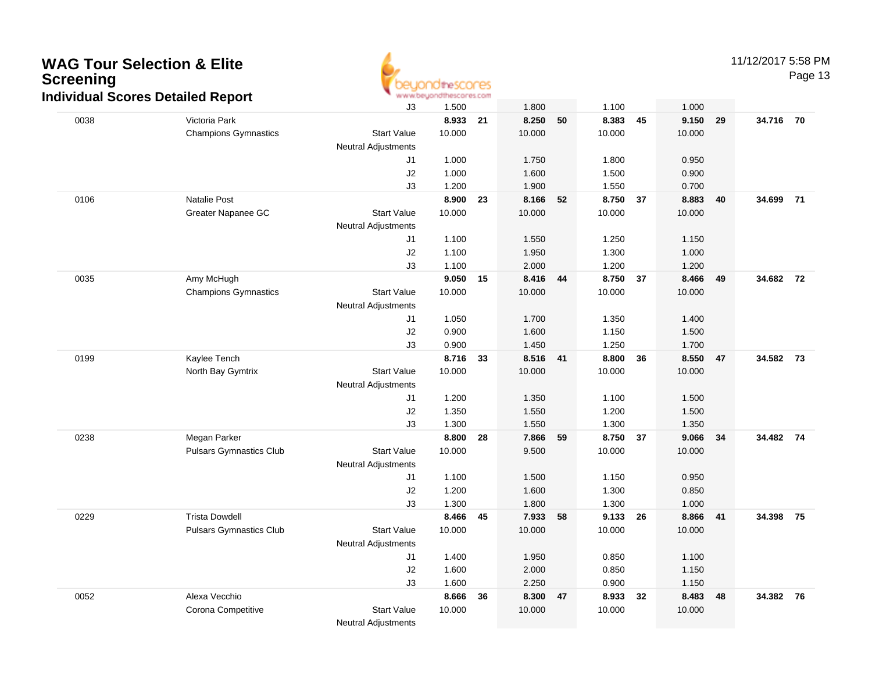

11/12/2017 5:58 PM

|      | idividual Ocol co Detanca Report               | J3                         | 1.500           |    | 1.800          |    | 1.100           |    | 1.000  |      |           |    |
|------|------------------------------------------------|----------------------------|-----------------|----|----------------|----|-----------------|----|--------|------|-----------|----|
| 0038 | Victoria Park                                  |                            | 8.933           | 21 | 8.250          | 50 | 8.383           | 45 | 9.150  | 29   | 34.716 70 |    |
|      | <b>Champions Gymnastics</b>                    | <b>Start Value</b>         | 10.000          |    | 10.000         |    | 10.000          |    | 10.000 |      |           |    |
|      |                                                | <b>Neutral Adjustments</b> |                 |    |                |    |                 |    |        |      |           |    |
|      |                                                | J1                         | 1.000           |    | 1.750          |    | 1.800           |    | 0.950  |      |           |    |
|      |                                                | J2                         | 1.000           |    | 1.600          |    | 1.500           |    | 0.900  |      |           |    |
|      |                                                | J3                         | 1.200           |    | 1.900          |    | 1.550           |    | 0.700  |      |           |    |
| 0106 | Natalie Post                                   |                            | 8.900           | 23 | 8.166          | 52 | 8.750 37        |    | 8.883  | 40   | 34.699 71 |    |
|      | Greater Napanee GC                             | <b>Start Value</b>         | 10.000          |    | 10.000         |    | 10.000          |    | 10.000 |      |           |    |
|      |                                                | <b>Neutral Adjustments</b> |                 |    |                |    |                 |    |        |      |           |    |
|      |                                                | J1                         | 1.100           |    | 1.550          |    | 1.250           |    | 1.150  |      |           |    |
|      |                                                | J2                         | 1.100           |    | 1.950          |    | 1.300           |    | 1.000  |      |           |    |
|      |                                                | J3                         | 1.100           |    | 2.000          |    | 1.200           |    | 1.200  |      |           |    |
| 0035 | Amy McHugh                                     |                            | 9.050           | 15 | 8.416          | 44 | 8.750 37        |    | 8.466  | 49   | 34.682 72 |    |
|      | <b>Champions Gymnastics</b>                    | <b>Start Value</b>         | 10.000          |    | 10.000         |    | 10.000          |    | 10.000 |      |           |    |
|      |                                                | <b>Neutral Adjustments</b> |                 |    |                |    |                 |    |        |      |           |    |
|      |                                                | J1                         | 1.050           |    | 1.700          |    | 1.350           |    | 1.400  |      |           |    |
|      |                                                | J2                         | 0.900           |    | 1.600          |    | 1.150           |    | 1.500  |      |           |    |
|      |                                                | J3                         | 0.900           |    | 1.450          |    | 1.250           |    | 1.700  |      |           |    |
| 0199 | Kaylee Tench                                   |                            | 8.716           | 33 | 8.516 41       |    | 8.800           | 36 | 8.550  | 47   | 34.582 73 |    |
|      | North Bay Gymtrix                              | <b>Start Value</b>         | 10.000          |    | 10.000         |    | 10.000          |    | 10.000 |      |           |    |
|      |                                                | <b>Neutral Adjustments</b> |                 |    |                |    |                 |    |        |      |           |    |
|      |                                                | J1                         | 1.200           |    | 1.350          |    | 1.100           |    | 1.500  |      |           |    |
|      |                                                | J2                         | 1.350           |    | 1.550          |    | 1.200           |    | 1.500  |      |           |    |
|      |                                                | J3                         | 1.300           |    | 1.550          |    | 1.300           |    | 1.350  |      |           |    |
| 0238 | Megan Parker<br><b>Pulsars Gymnastics Club</b> | <b>Start Value</b>         | 8.800<br>10.000 | 28 | 7.866<br>9.500 | 59 | 8.750<br>10.000 | 37 | 9.066  | - 34 | 34.482 74 |    |
|      |                                                | <b>Neutral Adjustments</b> |                 |    |                |    |                 |    | 10.000 |      |           |    |
|      |                                                | J1                         | 1.100           |    | 1.500          |    | 1.150           |    | 0.950  |      |           |    |
|      |                                                | J2                         | 1.200           |    | 1.600          |    | 1.300           |    | 0.850  |      |           |    |
|      |                                                | J3                         | 1.300           |    | 1.800          |    | 1.300           |    | 1.000  |      |           |    |
| 0229 | <b>Trista Dowdell</b>                          |                            | 8.466           | 45 | 7.933          | 58 | 9.133 26        |    | 8.866  | 41   | 34.398 75 |    |
|      | <b>Pulsars Gymnastics Club</b>                 | <b>Start Value</b>         | 10.000          |    | 10.000         |    | 10.000          |    | 10.000 |      |           |    |
|      |                                                | <b>Neutral Adjustments</b> |                 |    |                |    |                 |    |        |      |           |    |
|      |                                                | J1                         | 1.400           |    | 1.950          |    | 0.850           |    | 1.100  |      |           |    |
|      |                                                | J2                         | 1.600           |    | 2.000          |    | 0.850           |    | 1.150  |      |           |    |
|      |                                                | J3                         | 1.600           |    | 2.250          |    | 0.900           |    | 1.150  |      |           |    |
| 0052 | Alexa Vecchio                                  |                            | 8.666           | 36 | 8.300          | 47 | 8.933           | 32 | 8.483  | 48   | 34.382    | 76 |
|      | Corona Competitive                             | <b>Start Value</b>         | 10.000          |    | 10.000         |    | 10.000          |    | 10.000 |      |           |    |
|      |                                                | <b>Neutral Adjustments</b> |                 |    |                |    |                 |    |        |      |           |    |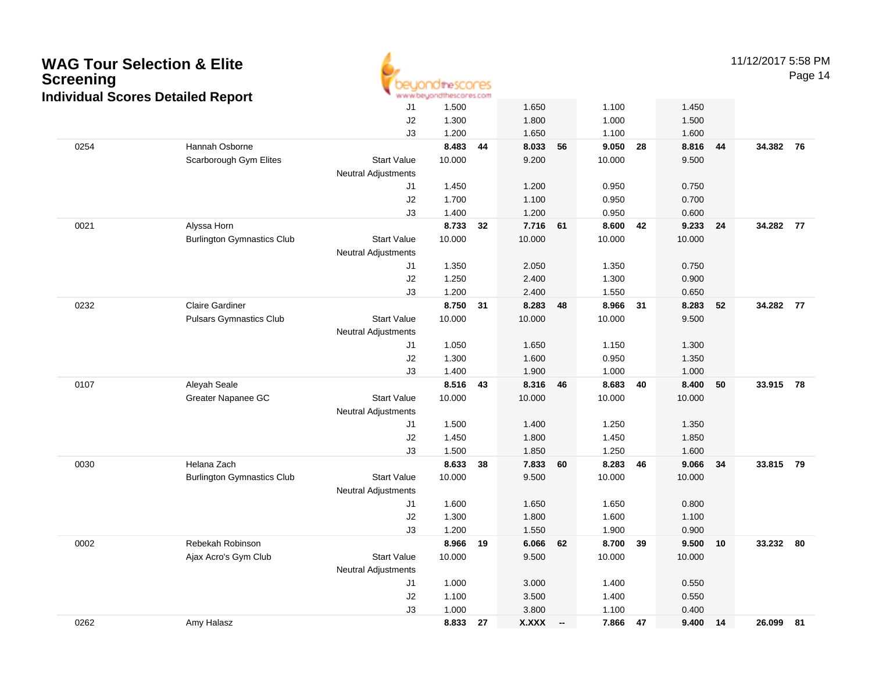| <b>Screening</b> | <b>WAG Tour Selection &amp; Elite</b><br><b>Individual Scores Detailed Report</b> |                            | <b>10theSCOCES</b><br>www.beyondthescores.com |     |              |        |          |    |            |    | 11/12/2017 5:58 PM | Page 14 |
|------------------|-----------------------------------------------------------------------------------|----------------------------|-----------------------------------------------|-----|--------------|--------|----------|----|------------|----|--------------------|---------|
|                  |                                                                                   | J1                         | 1.500                                         |     | 1.650        |        | 1.100    |    | 1.450      |    |                    |         |
|                  |                                                                                   | J2                         | 1.300                                         |     | 1.800        |        | 1.000    |    | 1.500      |    |                    |         |
|                  |                                                                                   | J3                         | 1.200                                         |     | 1.650        |        | 1.100    |    | 1.600      |    |                    |         |
| 0254             | Hannah Osborne                                                                    |                            | 8.483                                         | 44  | 8.033        | 56     | 9.050    | 28 | 8.816      | 44 | 34.382 76          |         |
|                  | Scarborough Gym Elites                                                            | <b>Start Value</b>         | 10.000                                        |     | 9.200        |        | 10.000   |    | 9.500      |    |                    |         |
|                  |                                                                                   | <b>Neutral Adjustments</b> |                                               |     |              |        |          |    |            |    |                    |         |
|                  |                                                                                   | J1                         | 1.450                                         |     | 1.200        |        | 0.950    |    | 0.750      |    |                    |         |
|                  |                                                                                   | J2                         | 1.700                                         |     | 1.100        |        | 0.950    |    | 0.700      |    |                    |         |
|                  |                                                                                   | J3                         | 1.400                                         |     | 1.200        |        | 0.950    |    | 0.600      |    |                    |         |
| 0021             | Alyssa Horn                                                                       |                            | 8.733                                         | 32  | 7.716        | 61     | 8.600    | 42 | 9.233      | 24 | 34.282 77          |         |
|                  | <b>Burlington Gymnastics Club</b>                                                 | <b>Start Value</b>         | 10.000                                        |     | 10.000       |        | 10.000   |    | 10.000     |    |                    |         |
|                  |                                                                                   | <b>Neutral Adjustments</b> |                                               |     |              |        |          |    |            |    |                    |         |
|                  |                                                                                   | J1                         | 1.350                                         |     | 2.050        |        | 1.350    |    | 0.750      |    |                    |         |
|                  |                                                                                   | J2                         | 1.250                                         |     | 2.400        |        | 1.300    |    | 0.900      |    |                    |         |
|                  |                                                                                   | J3                         | 1.200                                         |     | 2.400        |        | 1.550    |    | 0.650      |    |                    |         |
| 0232             | <b>Claire Gardiner</b>                                                            | <b>Start Value</b>         | 8.750 31                                      |     | 8.283        | 48     | 8.966    | 31 | 8.283      | 52 | 34.282 77          |         |
|                  | <b>Pulsars Gymnastics Club</b>                                                    |                            | 10.000                                        |     | 10.000       |        | 10.000   |    | 9.500      |    |                    |         |
|                  |                                                                                   | <b>Neutral Adjustments</b> | 1.050                                         |     | 1.650        |        | 1.150    |    | 1.300      |    |                    |         |
|                  |                                                                                   | J1<br>J2                   | 1.300                                         |     | 1.600        |        | 0.950    |    | 1.350      |    |                    |         |
|                  |                                                                                   | J3                         | 1.400                                         |     | 1.900        |        | 1.000    |    | 1.000      |    |                    |         |
| 0107             | Aleyah Seale                                                                      |                            | 8.516 43                                      |     | 8.316        | 46     | 8.683    | 40 | 8.400      | 50 | 33.915 78          |         |
|                  | Greater Napanee GC                                                                | <b>Start Value</b>         | 10.000                                        |     | 10.000       |        | 10.000   |    | 10.000     |    |                    |         |
|                  |                                                                                   | <b>Neutral Adjustments</b> |                                               |     |              |        |          |    |            |    |                    |         |
|                  |                                                                                   | J1                         | 1.500                                         |     | 1.400        |        | 1.250    |    | 1.350      |    |                    |         |
|                  |                                                                                   | J2                         | 1.450                                         |     | 1.800        |        | 1.450    |    | 1.850      |    |                    |         |
|                  |                                                                                   | J3                         | 1.500                                         |     | 1.850        |        | 1.250    |    | 1.600      |    |                    |         |
| 0030             | Helana Zach                                                                       |                            | 8.633                                         | -38 | 7.833        | 60     | 8.283    | 46 | 9.066      | 34 | 33.815 79          |         |
|                  | <b>Burlington Gymnastics Club</b>                                                 | <b>Start Value</b>         | 10.000                                        |     | 9.500        |        | 10.000   |    | 10.000     |    |                    |         |
|                  |                                                                                   | <b>Neutral Adjustments</b> |                                               |     |              |        |          |    |            |    |                    |         |
|                  |                                                                                   | J1                         | 1.600                                         |     | 1.650        |        | 1.650    |    | 0.800      |    |                    |         |
|                  |                                                                                   | J2                         | 1.300                                         |     | 1.800        |        | 1.600    |    | 1.100      |    |                    |         |
|                  |                                                                                   | J3                         | 1.200                                         |     | 1.550        |        | 1.900    |    | 0.900      |    |                    |         |
| 0002             | Rebekah Robinson                                                                  |                            | 8.966 19                                      |     | 6.066 62     |        | 8.700 39 |    | $9.500$ 10 |    | 33.232 80          |         |
|                  | Ajax Acro's Gym Club                                                              | <b>Start Value</b>         | 10.000                                        |     | 9.500        |        | 10.000   |    | 10.000     |    |                    |         |
|                  |                                                                                   | <b>Neutral Adjustments</b> |                                               |     |              |        |          |    |            |    |                    |         |
|                  |                                                                                   | J1                         | 1.000                                         |     | 3.000        |        | 1.400    |    | 0.550      |    |                    |         |
|                  |                                                                                   | J2                         | 1.100                                         |     | 3.500        |        | 1.400    |    | 0.550      |    |                    |         |
|                  |                                                                                   | J3                         | 1.000                                         |     | 3.800        |        | 1.100    |    | 0.400      |    |                    |         |
| 0262             | Amy Halasz                                                                        |                            | 8.833 27                                      |     | <b>X.XXX</b> | $\sim$ | 7.866 47 |    | 9.400 14   |    | 26.099 81          |         |